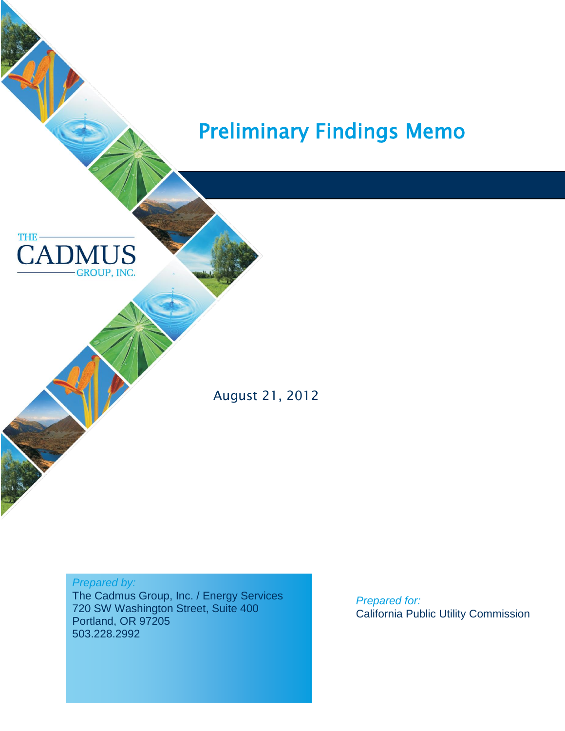



 $\overline{\phantom{0}}$ 

August 21, 2012

#### *Prepared by:*

The Cadmus Group, Inc. / Energy Services 720 SW Washington Street, Suite 400 Portland, OR 97205 503.228.2992

*Prepared for:* California Public Utility Commission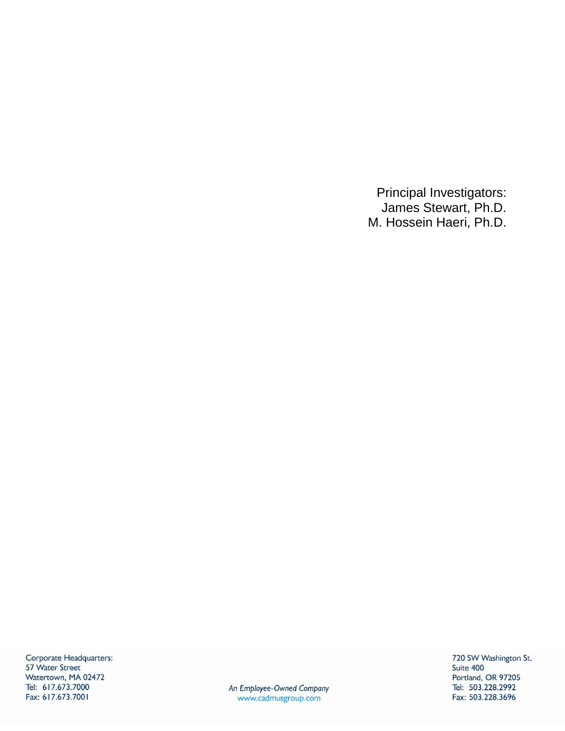Principal Investigators: James Stewart, Ph.D. M. Hossein Haeri, Ph.D.

Corporate Headquarters: 57 Water Street Watertown, MA 02472 Tel: 617.673.7000 Fax: 617.673.7001

An Employee-Owned Company www.cadmusgroup.com

720 SW Washington St. Suite 400 Portland, OR 97205 Tel: 503.228.2992 Fax: 503.228.3696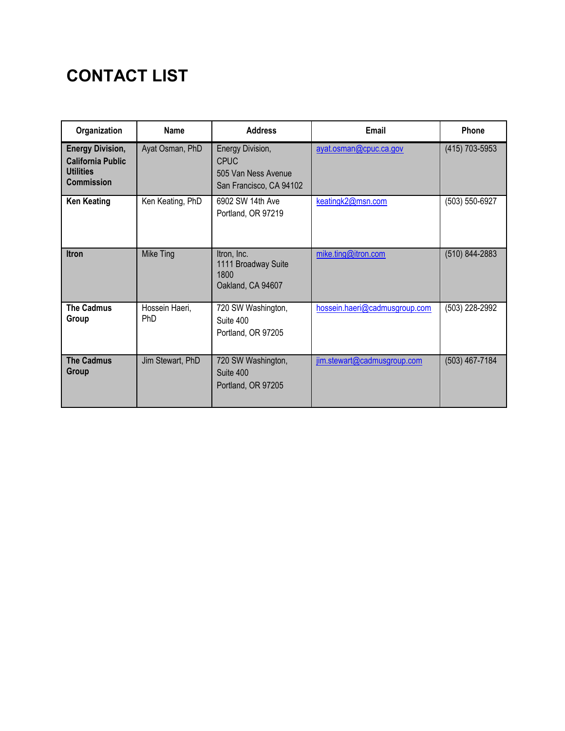# **CONTACT LIST**

| Organization                                                                                 | <b>Name</b>                  | <b>Address</b>                                                                    | Email                         | Phone          |
|----------------------------------------------------------------------------------------------|------------------------------|-----------------------------------------------------------------------------------|-------------------------------|----------------|
| <b>Energy Division,</b><br><b>California Public</b><br><b>Utilities</b><br><b>Commission</b> | Ayat Osman, PhD              | Energy Division,<br><b>CPUC</b><br>505 Van Ness Avenue<br>San Francisco, CA 94102 | ayat.osman@cpuc.ca.gov        | (415) 703-5953 |
| <b>Ken Keating</b>                                                                           | Ken Keating, PhD             | 6902 SW 14th Ave<br>Portland, OR 97219                                            | keatingk2@msn.com             | (503) 550-6927 |
| <b>Itron</b>                                                                                 | Mike Ting                    | Itron, Inc.<br>1111 Broadway Suite<br>1800<br>Oakland, CA 94607                   | mike.ting@itron.com           | (510) 844-2883 |
| <b>The Cadmus</b><br>Group                                                                   | Hossein Haeri,<br><b>PhD</b> | 720 SW Washington,<br>Suite 400<br>Portland, OR 97205                             | hossein.haeri@cadmusgroup.com | (503) 228-2992 |
| <b>The Cadmus</b><br>Group                                                                   | Jim Stewart, PhD             | 720 SW Washington,<br>Suite 400<br>Portland, OR 97205                             | jim.stewart@cadmusgroup.com   | (503) 467-7184 |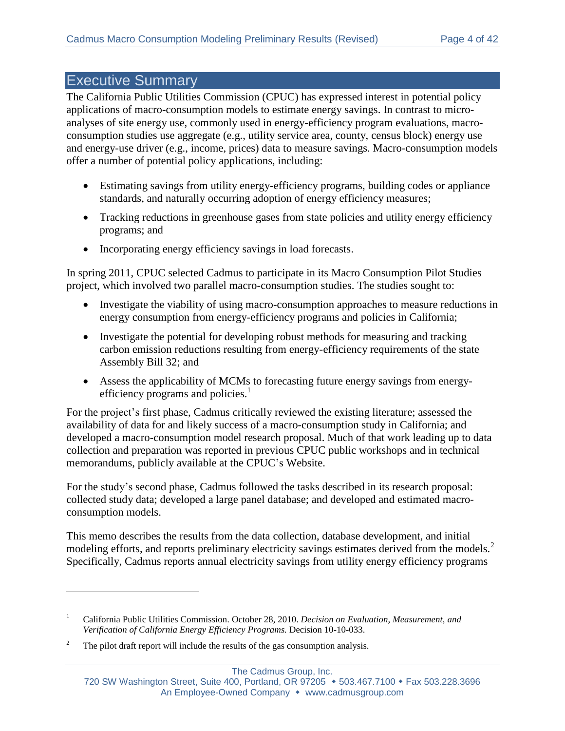# Executive Summary

The California Public Utilities Commission (CPUC) has expressed interest in potential policy applications of macro-consumption models to estimate energy savings. In contrast to microanalyses of site energy use, commonly used in energy-efficiency program evaluations, macroconsumption studies use aggregate (e.g., utility service area, county, census block) energy use and energy-use driver (e.g., income, prices) data to measure savings. Macro-consumption models offer a number of potential policy applications, including:

- Estimating savings from utility energy-efficiency programs, building codes or appliance standards, and naturally occurring adoption of energy efficiency measures;
- Tracking reductions in greenhouse gases from state policies and utility energy efficiency programs; and
- Incorporating energy efficiency savings in load forecasts.

In spring 2011, CPUC selected Cadmus to participate in its Macro Consumption Pilot Studies project, which involved two parallel macro-consumption studies. The studies sought to:

- Investigate the viability of using macro-consumption approaches to measure reductions in energy consumption from energy-efficiency programs and policies in California;
- Investigate the potential for developing robust methods for measuring and tracking carbon emission reductions resulting from energy-efficiency requirements of the state Assembly Bill 32; and
- Assess the applicability of MCMs to forecasting future energy savings from energyefficiency programs and policies.<sup>1</sup>

For the project's first phase, Cadmus critically reviewed the existing literature; assessed the availability of data for and likely success of a macro-consumption study in California; and developed a macro-consumption model research proposal. Much of that work leading up to data collection and preparation was reported in previous CPUC public workshops and in technical memorandums, publicly available at the CPUC's Website.

For the study's second phase, Cadmus followed the tasks described in its research proposal: collected study data; developed a large panel database; and developed and estimated macroconsumption models.

This memo describes the results from the data collection, database development, and initial modeling efforts, and reports preliminary electricity savings estimates derived from the models.<sup>2</sup> Specifically, Cadmus reports annual electricity savings from utility energy efficiency programs

 $\overline{a}$ 

<sup>1</sup> California Public Utilities Commission. October 28, 2010. *Decision on Evaluation, Measurement, and Verification of California Energy Efficiency Programs.* Decision 10-10-033.

<sup>&</sup>lt;sup>2</sup> The pilot draft report will include the results of the gas consumption analysis.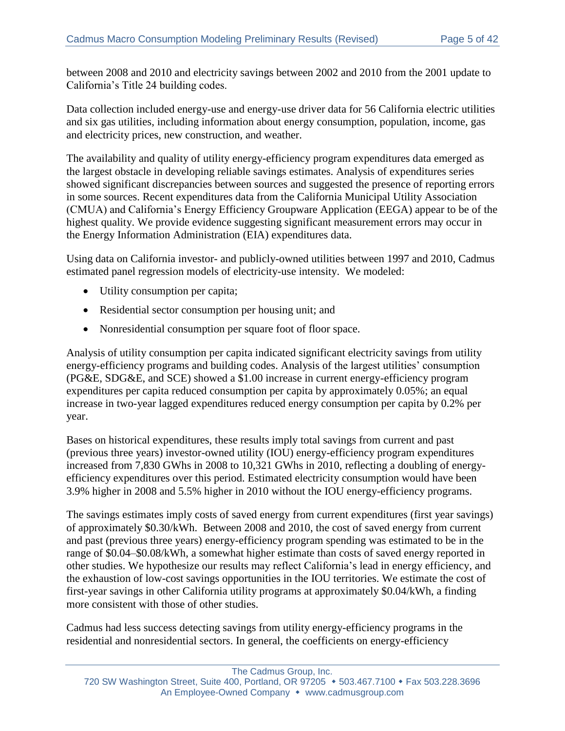between 2008 and 2010 and electricity savings between 2002 and 2010 from the 2001 update to California's Title 24 building codes.

Data collection included energy-use and energy-use driver data for 56 California electric utilities and six gas utilities, including information about energy consumption, population, income, gas and electricity prices, new construction, and weather.

The availability and quality of utility energy-efficiency program expenditures data emerged as the largest obstacle in developing reliable savings estimates. Analysis of expenditures series showed significant discrepancies between sources and suggested the presence of reporting errors in some sources. Recent expenditures data from the California Municipal Utility Association (CMUA) and California's Energy Efficiency Groupware Application (EEGA) appear to be of the highest quality. We provide evidence suggesting significant measurement errors may occur in the Energy Information Administration (EIA) expenditures data.

Using data on California investor- and publicly-owned utilities between 1997 and 2010, Cadmus estimated panel regression models of electricity-use intensity. We modeled:

- Utility consumption per capita;
- Residential sector consumption per housing unit; and
- Nonresidential consumption per square foot of floor space.

Analysis of utility consumption per capita indicated significant electricity savings from utility energy-efficiency programs and building codes. Analysis of the largest utilities' consumption (PG&E, SDG&E, and SCE) showed a \$1.00 increase in current energy-efficiency program expenditures per capita reduced consumption per capita by approximately 0.05%; an equal increase in two-year lagged expenditures reduced energy consumption per capita by 0.2% per year.

Bases on historical expenditures, these results imply total savings from current and past (previous three years) investor-owned utility (IOU) energy-efficiency program expenditures increased from 7,830 GWhs in 2008 to 10,321 GWhs in 2010, reflecting a doubling of energyefficiency expenditures over this period. Estimated electricity consumption would have been 3.9% higher in 2008 and 5.5% higher in 2010 without the IOU energy-efficiency programs.

The savings estimates imply costs of saved energy from current expenditures (first year savings) of approximately \$0.30/kWh. Between 2008 and 2010, the cost of saved energy from current and past (previous three years) energy-efficiency program spending was estimated to be in the range of \$0.04–\$0.08/kWh, a somewhat higher estimate than costs of saved energy reported in other studies. We hypothesize our results may reflect California's lead in energy efficiency, and the exhaustion of low-cost savings opportunities in the IOU territories. We estimate the cost of first-year savings in other California utility programs at approximately \$0.04/kWh, a finding more consistent with those of other studies.

Cadmus had less success detecting savings from utility energy-efficiency programs in the residential and nonresidential sectors. In general, the coefficients on energy-efficiency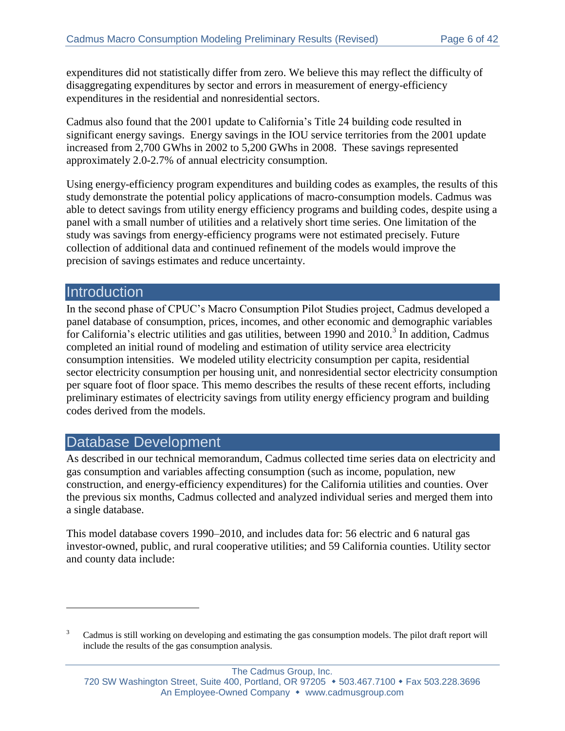expenditures did not statistically differ from zero. We believe this may reflect the difficulty of disaggregating expenditures by sector and errors in measurement of energy-efficiency expenditures in the residential and nonresidential sectors.

Cadmus also found that the 2001 update to California's Title 24 building code resulted in significant energy savings. Energy savings in the IOU service territories from the 2001 update increased from 2,700 GWhs in 2002 to 5,200 GWhs in 2008. These savings represented approximately 2.0-2.7% of annual electricity consumption.

Using energy-efficiency program expenditures and building codes as examples, the results of this study demonstrate the potential policy applications of macro-consumption models. Cadmus was able to detect savings from utility energy efficiency programs and building codes, despite using a panel with a small number of utilities and a relatively short time series. One limitation of the study was savings from energy-efficiency programs were not estimated precisely. Future collection of additional data and continued refinement of the models would improve the precision of savings estimates and reduce uncertainty.

### **Introduction**

 $\overline{a}$ 

In the second phase of CPUC's Macro Consumption Pilot Studies project, Cadmus developed a panel database of consumption, prices, incomes, and other economic and demographic variables for California's electric utilities and gas utilities, between 1990 and 2010.<sup>3</sup> In addition, Cadmus completed an initial round of modeling and estimation of utility service area electricity consumption intensities. We modeled utility electricity consumption per capita, residential sector electricity consumption per housing unit, and nonresidential sector electricity consumption per square foot of floor space. This memo describes the results of these recent efforts, including preliminary estimates of electricity savings from utility energy efficiency program and building codes derived from the models.

### Database Development

As described in our technical memorandum, Cadmus collected time series data on electricity and gas consumption and variables affecting consumption (such as income, population, new construction, and energy-efficiency expenditures) for the California utilities and counties. Over the previous six months, Cadmus collected and analyzed individual series and merged them into a single database.

This model database covers 1990–2010, and includes data for: 56 electric and 6 natural gas investor-owned, public, and rural cooperative utilities; and 59 California counties. Utility sector and county data include:

<sup>&</sup>lt;sup>3</sup> Cadmus is still working on developing and estimating the gas consumption models. The pilot draft report will include the results of the gas consumption analysis.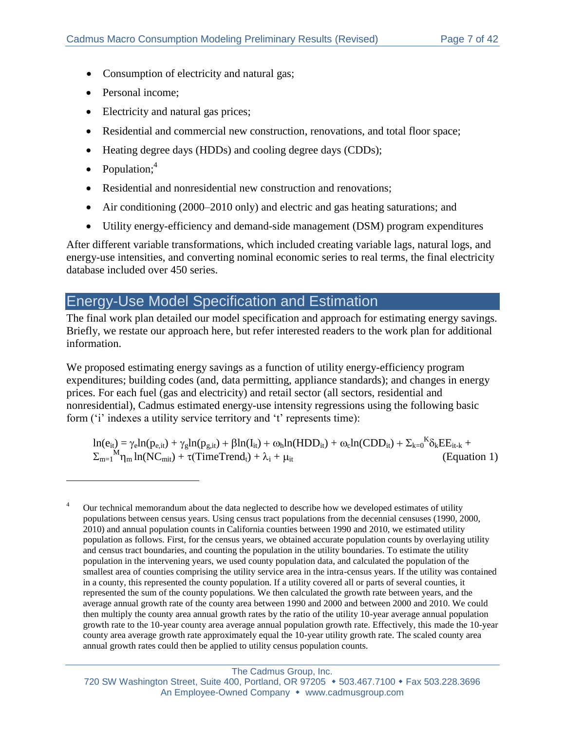- Consumption of electricity and natural gas;
- Personal income:
- Electricity and natural gas prices;
- Residential and commercial new construction, renovations, and total floor space;
- Heating degree days (HDDs) and cooling degree days (CDDs);
- Population; $4$

 $\overline{a}$ 

- Residential and nonresidential new construction and renovations;
- Air conditioning (2000–2010 only) and electric and gas heating saturations; and
- Utility energy-efficiency and demand-side management (DSM) program expenditures

After different variable transformations, which included creating variable lags, natural logs, and energy-use intensities, and converting nominal economic series to real terms, the final electricity database included over 450 series.

# Energy-Use Model Specification and Estimation

The final work plan detailed our model specification and approach for estimating energy savings. Briefly, we restate our approach here, but refer interested readers to the work plan for additional information.

We proposed estimating energy savings as a function of utility energy-efficiency program expenditures; building codes (and, data permitting, appliance standards); and changes in energy prices. For each fuel (gas and electricity) and retail sector (all sectors, residential and nonresidential), Cadmus estimated energy-use intensity regressions using the following basic form ('i' indexes a utility service territory and 't' represents time):

 $ln(e_{it}) = \gamma_e ln(p_{e,it}) + \gamma_g ln(p_{g,it}) + \beta ln(I_{it}) + \omega_h ln(HDD_{it}) + \omega_c ln(CDD_{it}) + \sum_{k=0}^{K} \delta_k EE_{it-k}$  $\Sigma_{m=1}^{M} \eta_m \ln(NC_{mit}) + \tau (TimeTrend_t) + \lambda_i + \mu_{it}$  (Equation 1)

Our technical memorandum about the data neglected to describe how we developed estimates of utility populations between census years. Using census tract populations from the decennial censuses (1990, 2000, 2010) and annual population counts in California counties between 1990 and 2010, we estimated utility population as follows. First, for the census years, we obtained accurate population counts by overlaying utility and census tract boundaries, and counting the population in the utility boundaries. To estimate the utility population in the intervening years, we used county population data, and calculated the population of the smallest area of counties comprising the utility service area in the intra-census years. If the utility was contained in a county, this represented the county population. If a utility covered all or parts of several counties, it represented the sum of the county populations. We then calculated the growth rate between years, and the average annual growth rate of the county area between 1990 and 2000 and between 2000 and 2010. We could then multiply the county area annual growth rates by the ratio of the utility 10-year average annual population growth rate to the 10-year county area average annual population growth rate. Effectively, this made the 10-year county area average growth rate approximately equal the 10-year utility growth rate. The scaled county area annual growth rates could then be applied to utility census population counts.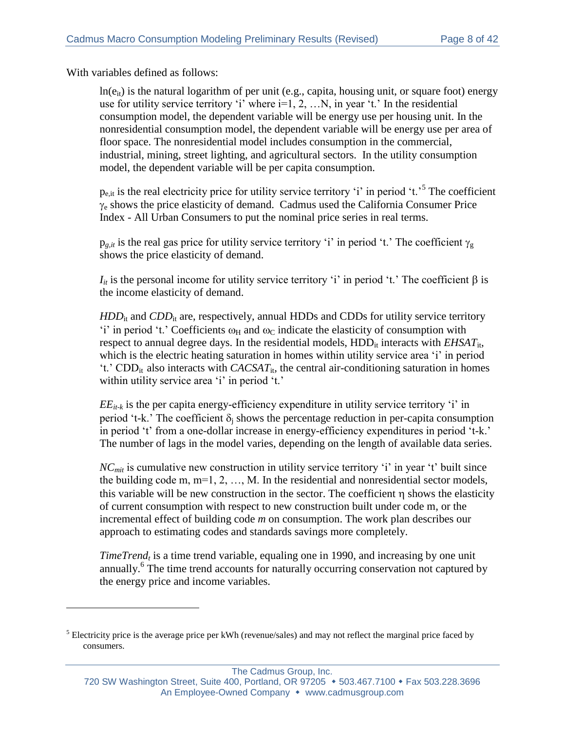With variables defined as follows:

 $\overline{a}$ 

 $ln(e_{it})$  is the natural logarithm of per unit (e.g., capita, housing unit, or square foot) energy use for utility service territory 'i' where  $i=1, 2, \ldots N$ , in year 't.' In the residential consumption model, the dependent variable will be energy use per housing unit. In the nonresidential consumption model, the dependent variable will be energy use per area of floor space. The nonresidential model includes consumption in the commercial, industrial, mining, street lighting, and agricultural sectors. In the utility consumption model, the dependent variable will be per capita consumption.

 $p_{e, it}$  is the real electricity price for utility service territory 'i' in period 't.'<sup>5</sup> The coefficient  $\gamma_e$  shows the price elasticity of demand. Cadmus used the California Consumer Price Index - All Urban Consumers to put the nominal price series in real terms.

 $p_{g,i}$  is the real gas price for utility service territory 'i' in period 't.' The coefficient  $\gamma_{g}$ shows the price elasticity of demand.

 $I_{it}$  is the personal income for utility service territory 'i' in period 't.' The coefficient  $\beta$  is the income elasticity of demand.

*HDD*<sub>it</sub> and *CDD*<sub>it</sub> are, respectively, annual HDDs and CDDs for utility service territory 'i' in period 't.' Coefficients  $\omega_H$  and  $\omega_C$  indicate the elasticity of consumption with respect to annual degree days. In the residential models, HDD<sub>it</sub> interacts with *EHSAT*<sub>it</sub>, which is the electric heating saturation in homes within utility service area 'i' in period 't.' CDD<sub>it</sub> also interacts with  $CACSAT_{it}$ , the central air-conditioning saturation in homes within utility service area 'i' in period 't.'

 $EE_{it,k}$  is the per capita energy-efficiency expenditure in utility service territory 'i' in period 't-k.' The coefficient  $\delta_i$  shows the percentage reduction in per-capita consumption in period 't' from a one-dollar increase in energy-efficiency expenditures in period 't-k.' The number of lags in the model varies, depending on the length of available data series.

*NCmit* is cumulative new construction in utility service territory 'i' in year 't' built since the building code m, m=1, 2, …, M. In the residential and nonresidential sector models, this variable will be new construction in the sector. The coefficient  $\eta$  shows the elasticity of current consumption with respect to new construction built under code m, or the incremental effect of building code *m* on consumption. The work plan describes our approach to estimating codes and standards savings more completely.

*TimeTrend<sub>t</sub>* is a time trend variable, equaling one in 1990, and increasing by one unit annually.<sup>6</sup> The time trend accounts for naturally occurring conservation not captured by the energy price and income variables.

The Cadmus Group, Inc.

<sup>&</sup>lt;sup>5</sup> Electricity price is the average price per kWh (revenue/sales) and may not reflect the marginal price faced by consumers.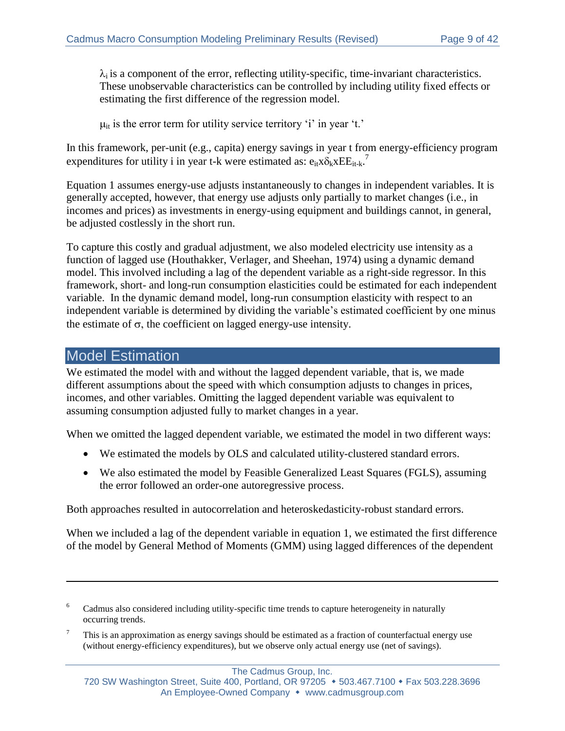$\lambda_i$  is a component of the error, reflecting utility-specific, time-invariant characteristics. These unobservable characteristics can be controlled by including utility fixed effects or estimating the first difference of the regression model.

 $\mu_{it}$  is the error term for utility service territory 'i' in year 't.'

In this framework, per-unit (e.g., capita) energy savings in year t from energy-efficiency program expenditures for utility i in year t-k were estimated as:  $e_{it}x\delta_k xEE_{it-k}$ .

Equation 1 assumes energy-use adjusts instantaneously to changes in independent variables. It is generally accepted, however, that energy use adjusts only partially to market changes (i.e., in incomes and prices) as investments in energy-using equipment and buildings cannot, in general, be adjusted costlessly in the short run.

To capture this costly and gradual adjustment, we also modeled electricity use intensity as a function of lagged use (Houthakker, Verlager, and Sheehan, 1974) using a dynamic demand model. This involved including a lag of the dependent variable as a right-side regressor. In this framework, short- and long-run consumption elasticities could be estimated for each independent variable. In the dynamic demand model, long-run consumption elasticity with respect to an independent variable is determined by dividing the variable's estimated coefficient by one minus the estimate of  $\sigma$ , the coefficient on lagged energy-use intensity.

#### Model Estimation

 $\overline{a}$ 

We estimated the model with and without the lagged dependent variable, that is, we made different assumptions about the speed with which consumption adjusts to changes in prices, incomes, and other variables. Omitting the lagged dependent variable was equivalent to assuming consumption adjusted fully to market changes in a year.

When we omitted the lagged dependent variable, we estimated the model in two different ways:

- We estimated the models by OLS and calculated utility-clustered standard errors.
- We also estimated the model by Feasible Generalized Least Squares (FGLS), assuming the error followed an order-one autoregressive process.

Both approaches resulted in autocorrelation and heteroskedasticity-robust standard errors.

When we included a lag of the dependent variable in equation 1, we estimated the first difference of the model by General Method of Moments (GMM) using lagged differences of the dependent

<sup>&</sup>lt;sup>6</sup> Cadmus also considered including utility-specific time trends to capture heterogeneity in naturally occurring trends.

<sup>&</sup>lt;sup>7</sup> This is an approximation as energy savings should be estimated as a fraction of counterfactual energy use (without energy-efficiency expenditures), but we observe only actual energy use (net of savings).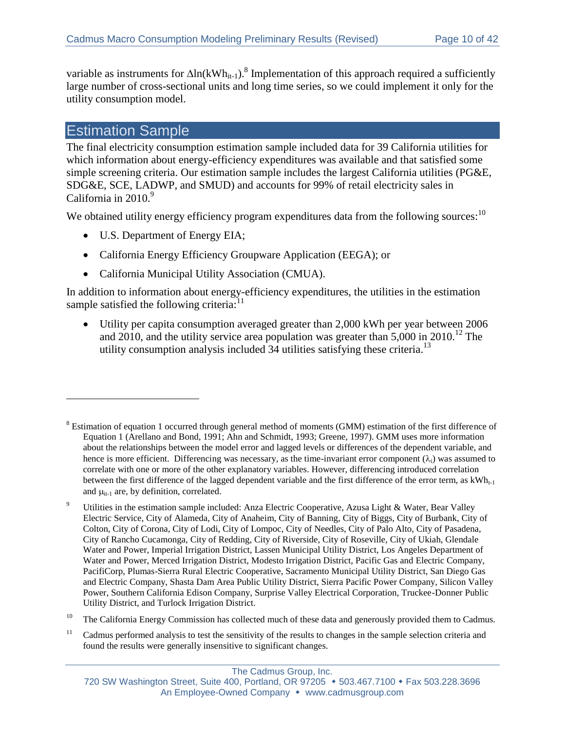variable as instruments for  $\Delta \ln(kWh_{it-1})$ .<sup>8</sup> Implementation of this approach required a sufficiently large number of cross-sectional units and long time series, so we could implement it only for the utility consumption model.

# Estimation Sample

 $\overline{a}$ 

The final electricity consumption estimation sample included data for 39 California utilities for which information about energy-efficiency expenditures was available and that satisfied some simple screening criteria. Our estimation sample includes the largest California utilities (PG&E, SDG&E, SCE, LADWP, and SMUD) and accounts for 99% of retail electricity sales in California in 2010.<sup>9</sup>

We obtained utility energy efficiency program expenditures data from the following sources:  $10$ 

- U.S. Department of Energy EIA;
- California Energy Efficiency Groupware Application (EEGA); or
- California Municipal Utility Association (CMUA).

In addition to information about energy-efficiency expenditures, the utilities in the estimation sample satisfied the following criteria:<sup>11</sup>

 Utility per capita consumption averaged greater than 2,000 kWh per year between 2006 and 2010, and the utility service area population was greater than  $5,000$  in 2010.<sup>12</sup> The utility consumption analysis included  $34$  utilities satisfying these criteria.<sup>13</sup>

<sup>&</sup>lt;sup>8</sup> Estimation of equation 1 occurred through general method of moments (GMM) estimation of the first difference of Equation 1 (Arellano and Bond, 1991; Ahn and Schmidt, 1993; Greene, 1997). GMM uses more information about the relationships between the model error and lagged levels or differences of the dependent variable, and hence is more efficient. Differencing was necessary, as the time-invariant error component  $(\lambda_i)$  was assumed to correlate with one or more of the other explanatory variables. However, differencing introduced correlation between the first difference of the lagged dependent variable and the first difference of the error term, as  $kWh_{t-1}$ and  $\mu_{it-1}$  are, by definition, correlated.

<sup>&</sup>lt;sup>9</sup> Utilities in the estimation sample included: Anza Electric Cooperative, Azusa Light & Water, Bear Valley Electric Service, City of Alameda, City of Anaheim, City of Banning, City of Biggs, City of Burbank, City of Colton, City of Corona, City of Lodi, City of Lompoc, City of Needles, City of Palo Alto, City of Pasadena, City of Rancho Cucamonga, City of Redding, City of Riverside, City of Roseville, City of Ukiah, Glendale Water and Power, Imperial Irrigation District, Lassen Municipal Utility District, Los Angeles Department of Water and Power, Merced Irrigation District, Modesto Irrigation District, Pacific Gas and Electric Company, PacifiCorp, Plumas-Sierra Rural Electric Cooperative, Sacramento Municipal Utility District, San Diego Gas and Electric Company, Shasta Dam Area Public Utility District, Sierra Pacific Power Company, Silicon Valley Power, Southern California Edison Company, Surprise Valley Electrical Corporation, Truckee-Donner Public Utility District, and Turlock Irrigation District.

<sup>&</sup>lt;sup>10</sup> The California Energy Commission has collected much of these data and generously provided them to Cadmus.

 $11$  Cadmus performed analysis to test the sensitivity of the results to changes in the sample selection criteria and found the results were generally insensitive to significant changes.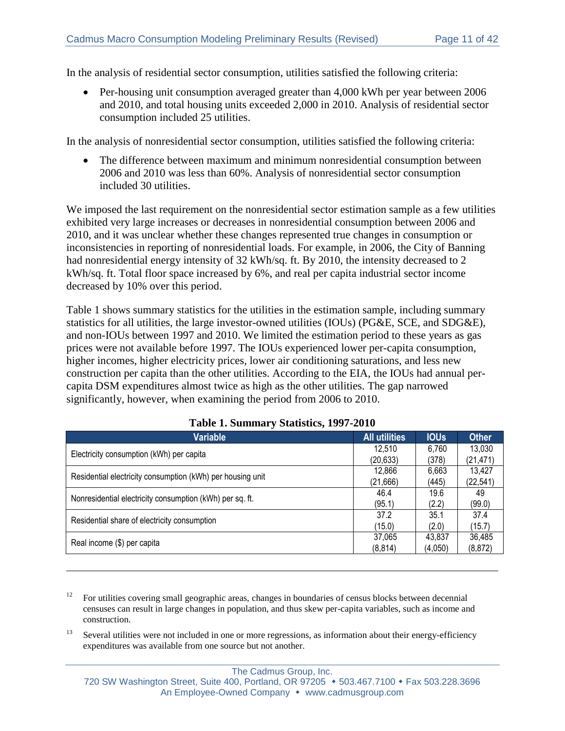In the analysis of residential sector consumption, utilities satisfied the following criteria:

 Per-housing unit consumption averaged greater than 4,000 kWh per year between 2006 and 2010, and total housing units exceeded 2,000 in 2010. Analysis of residential sector consumption included 25 utilities.

In the analysis of nonresidential sector consumption, utilities satisfied the following criteria:

 The difference between maximum and minimum nonresidential consumption between 2006 and 2010 was less than 60%. Analysis of nonresidential sector consumption included 30 utilities.

We imposed the last requirement on the nonresidential sector estimation sample as a few utilities exhibited very large increases or decreases in nonresidential consumption between 2006 and 2010, and it was unclear whether these changes represented true changes in consumption or inconsistencies in reporting of nonresidential loads. For example, in 2006, the City of Banning had nonresidential energy intensity of 32 kWh/sq. ft. By 2010, the intensity decreased to 2 kWh/sq. ft. Total floor space increased by 6%, and real per capita industrial sector income decreased by 10% over this period.

[Table 1](#page-10-0) shows summary statistics for the utilities in the estimation sample, including summary statistics for all utilities, the large investor-owned utilities (IOUs) (PG&E, SCE, and SDG&E), and non-IOUs between 1997 and 2010. We limited the estimation period to these years as gas prices were not available before 1997. The IOUs experienced lower per-capita consumption, higher incomes, higher electricity prices, lower air conditioning saturations, and less new construction per capita than the other utilities. According to the EIA, the IOUs had annual percapita DSM expenditures almost twice as high as the other utilities. The gap narrowed significantly, however, when examining the period from 2006 to 2010.

<span id="page-10-0"></span>

| <b>Variable</b>                                            | <b>All utilities</b> | <b>IOUs</b> | <b>Other</b> |
|------------------------------------------------------------|----------------------|-------------|--------------|
| Electricity consumption (kWh) per capita                   | 12,510               | 6,760       | 13,030       |
|                                                            | (20, 633)            | (378)       | (21, 471)    |
| Residential electricity consumption (kWh) per housing unit | 12,866               | 6,663       | 13,427       |
|                                                            | (21,666)             | (445)       | (22, 541)    |
| Nonresidential electricity consumption (kWh) per sq. ft.   | 46.4                 | 19.6        | 49           |
|                                                            | (95.1)               | (2.2)       | (99.0)       |
| Residential share of electricity consumption               | 37.2                 | 35.1        | 37.4         |
|                                                            | (15.0)               | (2.0)       | (15.7)       |
|                                                            | 37,065               | 43,837      | 36,485       |
| Real income (\$) per capita                                | (8, 814)             | (4,050)     | (8, 872)     |

| Table 1. Summary Statistics, 1997-2010 |  |  |
|----------------------------------------|--|--|
|----------------------------------------|--|--|

 $\overline{a}$ 

<sup>13</sup> Several utilities were not included in one or more regressions, as information about their energy-efficiency expenditures was available from one source but not another.

 $12$  For utilities covering small geographic areas, changes in boundaries of census blocks between decennial censuses can result in large changes in population, and thus skew per-capita variables, such as income and construction.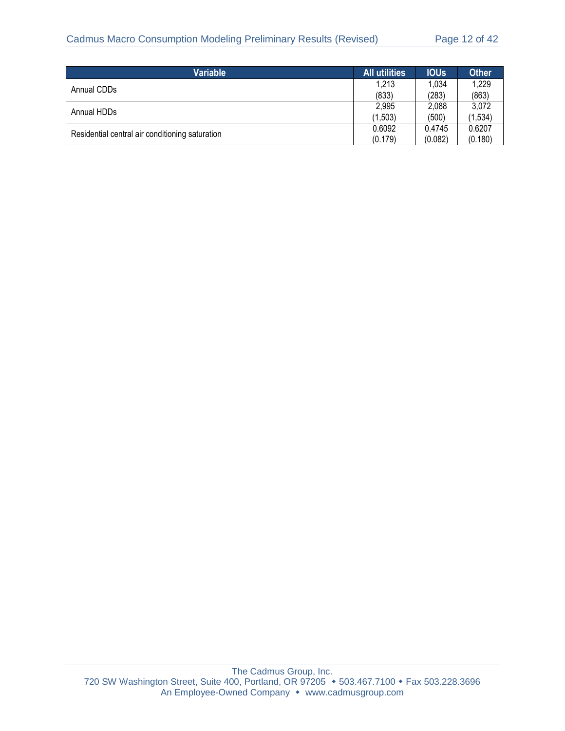| Variable                                        | <b>All utilities</b> | <b>IOUs</b> | <b>Other</b> |
|-------------------------------------------------|----------------------|-------------|--------------|
| Annual CDDs                                     | 1,213                | 1,034       | 1,229        |
|                                                 | (833)                | (283)       | (863)        |
| Annual HDDs                                     | 2,995                | 2,088       | 3,072        |
|                                                 | (1,503)              | (500)       | (1, 534)     |
|                                                 | 0.6092               | 0.4745      | 0.6207       |
| Residential central air conditioning saturation | (0.179)              | (0.082)     | (0.180)      |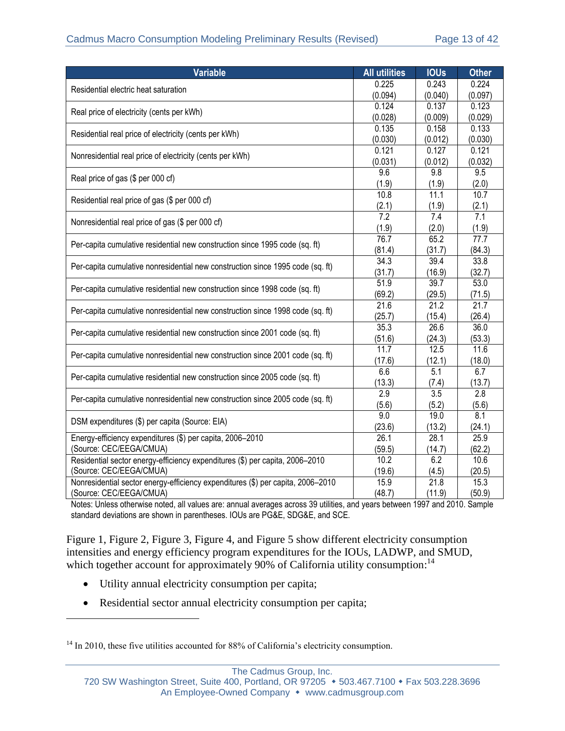| <b>Variable</b>                                                                 | <b>All utilities</b> | <b>IOUs</b>      | <b>Other</b>      |
|---------------------------------------------------------------------------------|----------------------|------------------|-------------------|
| Residential electric heat saturation                                            | 0.225                | 0.243            | 0.224             |
|                                                                                 | (0.094)              | (0.040)          | (0.097)           |
| Real price of electricity (cents per kWh)                                       | 0.124                | 0.137            | 0.123             |
|                                                                                 | (0.028)              | (0.009)          | (0.029)           |
| Residential real price of electricity (cents per kWh)                           | 0.135                | 0.158            | 0.133             |
|                                                                                 | (0.030)              | (0.012)          | (0.030)           |
| Nonresidential real price of electricity (cents per kWh)                        | 0.121                | 0.127            | 0.121             |
|                                                                                 | (0.031)              | (0.012)          | (0.032)           |
| Real price of gas (\$ per 000 cf)                                               | 9.6                  | $\overline{9.8}$ | 9.5               |
|                                                                                 | (1.9)                | (1.9)            | (2.0)             |
| Residential real price of gas (\$ per 000 cf)                                   | 10.8                 | 11.1             | 10.7              |
|                                                                                 | (2.1)                | (1.9)            | (2.1)             |
| Nonresidential real price of gas (\$ per 000 cf)                                | $\overline{7.2}$     | 7.4              | 7.1               |
|                                                                                 | (1.9)<br>76.7        | (2.0)<br>65.2    | (1.9)             |
| Per-capita cumulative residential new construction since 1995 code (sq. ft)     |                      |                  | 77.7              |
|                                                                                 | (81.4)<br>34.3       | (31.7)<br>39.4   | (84.3)<br>33.8    |
| Per-capita cumulative nonresidential new construction since 1995 code (sq. ft)  |                      |                  |                   |
|                                                                                 | (31.7)<br>51.9       | (16.9)<br>39.7   | (32.7)<br>53.0    |
| Per-capita cumulative residential new construction since 1998 code (sq. ft)     | (69.2)               | (29.5)           | (71.5)            |
|                                                                                 | 21.6                 | 21.2             | $\overline{21.7}$ |
| Per-capita cumulative nonresidential new construction since 1998 code (sq. ft)  | (25.7)               | (15.4)           | (26.4)            |
|                                                                                 | 35.3                 | 26.6             | 36.0              |
| Per-capita cumulative residential new construction since 2001 code (sq. ft)     | (51.6)               | (24.3)           | (53.3)            |
|                                                                                 | 11.7                 | 12.5             | 11.6              |
| Per-capita cumulative nonresidential new construction since 2001 code (sq. ft)  | (17.6)               | (12.1)           | (18.0)            |
|                                                                                 | 6.6                  | 5.1              | 6.7               |
| Per-capita cumulative residential new construction since 2005 code (sq. ft)     | (13.3)               | (7.4)            | (13.7)            |
|                                                                                 | 2.9                  | $\overline{3.5}$ | 2.8               |
| Per-capita cumulative nonresidential new construction since 2005 code (sq. ft)  | (5.6)                | (5.2)            | (5.6)             |
|                                                                                 | $\overline{9.0}$     | 19.0             | 8.1               |
| DSM expenditures (\$) per capita (Source: EIA)                                  | (23.6)               | (13.2)           | (24.1)            |
| Energy-efficiency expenditures (\$) per capita, 2006-2010                       | 26.1                 | 28.1             | 25.9              |
| (Source: CEC/EEGA/CMUA)                                                         | (59.5)               | (14.7)           | (62.2)            |
| Residential sector energy-efficiency expenditures (\$) per capita, 2006-2010    | 10.2                 | 6.2              | 10.6              |
| (Source: CEC/EEGA/CMUA)                                                         | (19.6)               | (4.5)            | (20.5)            |
| Nonresidential sector energy-efficiency expenditures (\$) per capita, 2006-2010 | 15.9                 | 21.8             | 15.3              |
| (Source: CEC/EEGA/CMUA)                                                         | (48.7)               | (11.9)           | (50.9)            |

Notes: Unless otherwise noted, all values are: annual averages across 39 utilities, and years between 1997 and 2010. Sample standard deviations are shown in parentheses. IOUs are PG&E, SDG&E, and SCE.

[Figure 1,](#page-13-0) [Figure 2,](#page-14-0) [Figure 3,](#page-14-1) [Figure 4,](#page-15-0) and [Figure 5](#page-15-1) show different electricity consumption intensities and energy efficiency program expenditures for the IOUs, LADWP, and SMUD, which together account for approximately 90% of California utility consumption:<sup>14</sup>

Utility annual electricity consumption per capita;

 $\overline{a}$ 

• Residential sector annual electricity consumption per capita;

<sup>&</sup>lt;sup>14</sup> In 2010, these five utilities accounted for 88% of California's electricity consumption.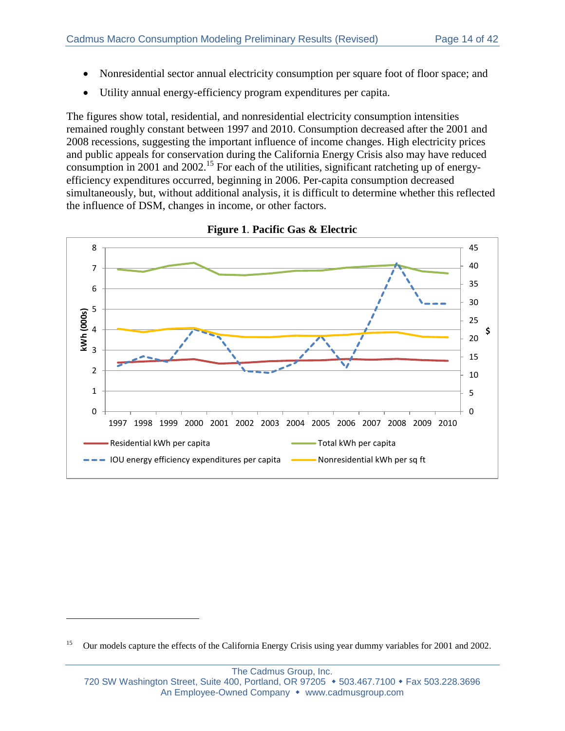- Nonresidential sector annual electricity consumption per square foot of floor space; and
- Utility annual energy-efficiency program expenditures per capita.

The figures show total, residential, and nonresidential electricity consumption intensities remained roughly constant between 1997 and 2010. Consumption decreased after the 2001 and 2008 recessions, suggesting the important influence of income changes. High electricity prices and public appeals for conservation during the California Energy Crisis also may have reduced consumption in 2001 and 2002.<sup>15</sup> For each of the utilities, significant ratcheting up of energyefficiency expenditures occurred, beginning in 2006. Per-capita consumption decreased simultaneously, but, without additional analysis, it is difficult to determine whether this reflected the influence of DSM, changes in income, or other factors.

<span id="page-13-0"></span>

**Figure 1**. **Pacific Gas & Electric**

 $\overline{a}$ 

<sup>&</sup>lt;sup>15</sup> Our models capture the effects of the California Energy Crisis using year dummy variables for 2001 and 2002.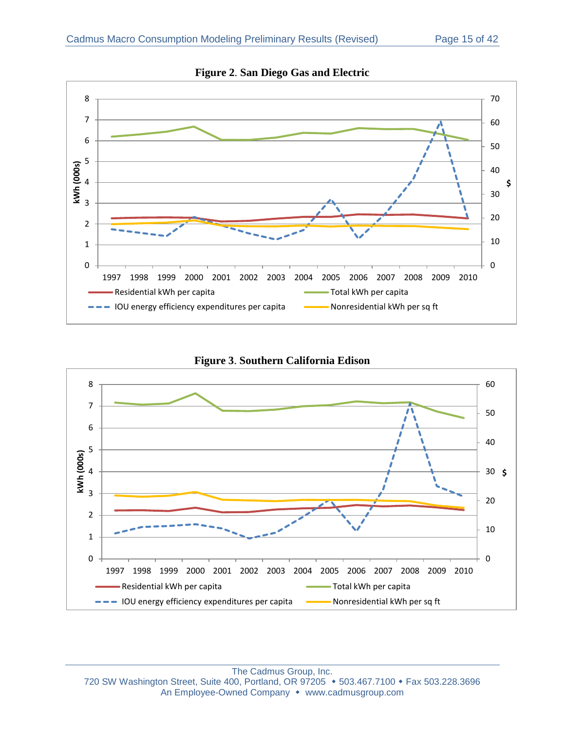<span id="page-14-0"></span>

**Figure 2**. **San Diego Gas and Electric**



<span id="page-14-1"></span>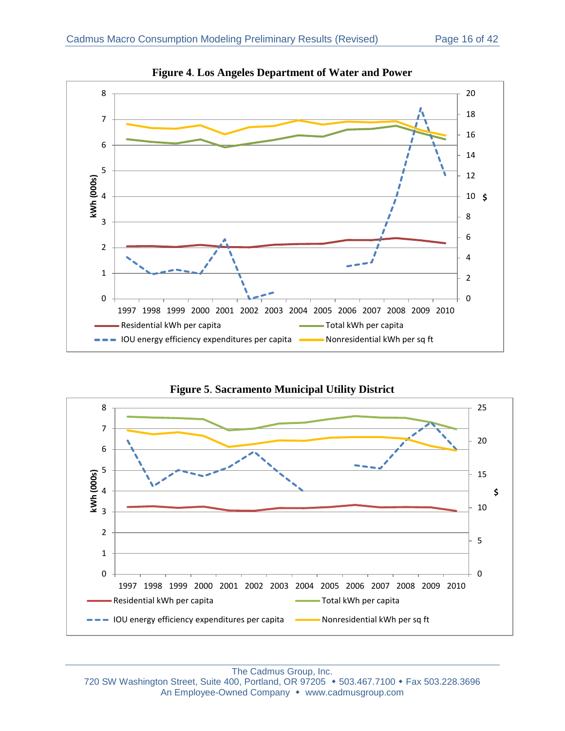<span id="page-15-0"></span>

**Figure 4**. **Los Angeles Department of Water and Power**



<span id="page-15-1"></span>

The Cadmus Group, Inc.

720 SW Washington Street, Suite 400, Portland, OR 97205 • 503.467.7100 • Fax 503.228.3696 An Employee-Owned Company • www.cadmusgroup.com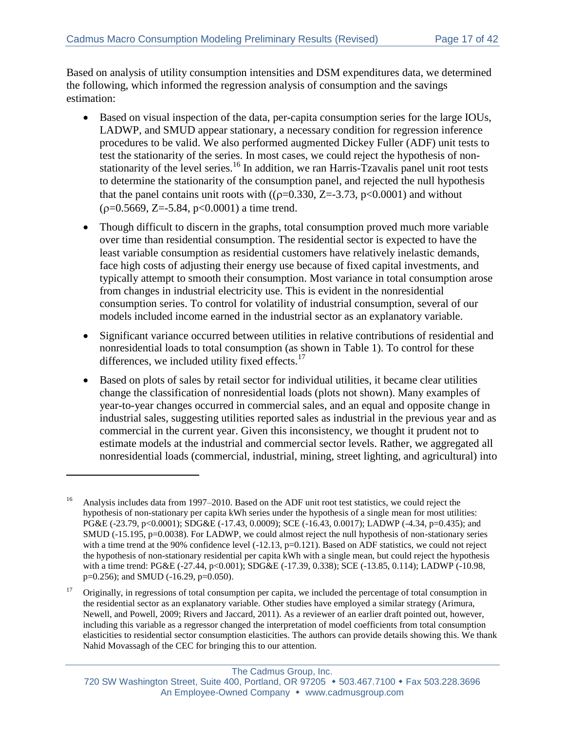Based on analysis of utility consumption intensities and DSM expenditures data, we determined the following, which informed the regression analysis of consumption and the savings estimation:

- Based on visual inspection of the data, per-capita consumption series for the large IOUs, LADWP, and SMUD appear stationary, a necessary condition for regression inference procedures to be valid. We also performed augmented Dickey Fuller (ADF) unit tests to test the stationarity of the series. In most cases, we could reject the hypothesis of nonstationarity of the level series.<sup>16</sup> In addition, we ran Harris-Tzavalis panel unit root tests to determine the stationarity of the consumption panel, and rejected the null hypothesis that the panel contains unit roots with  $((\rho=0.330, Z=-3.73, \text{p} < 0.0001)$  and without  $(p=0.5669, Z=-5.84, p<0.0001)$  a time trend.
- Though difficult to discern in the graphs, total consumption proved much more variable over time than residential consumption. The residential sector is expected to have the least variable consumption as residential customers have relatively inelastic demands, face high costs of adjusting their energy use because of fixed capital investments, and typically attempt to smooth their consumption. Most variance in total consumption arose from changes in industrial electricity use. This is evident in the nonresidential consumption series. To control for volatility of industrial consumption, several of our models included income earned in the industrial sector as an explanatory variable.
- Significant variance occurred between utilities in relative contributions of residential and nonresidential loads to total consumption (as shown in [Table 1\)](#page-10-0). To control for these differences, we included utility fixed effects.<sup>17</sup>
- Based on plots of sales by retail sector for individual utilities, it became clear utilities change the classification of nonresidential loads (plots not shown). Many examples of year-to-year changes occurred in commercial sales, and an equal and opposite change in industrial sales, suggesting utilities reported sales as industrial in the previous year and as commercial in the current year. Given this inconsistency, we thought it prudent not to estimate models at the industrial and commercial sector levels. Rather, we aggregated all nonresidential loads (commercial, industrial, mining, street lighting, and agricultural) into

 $\overline{a}$ 

<sup>16</sup> Analysis includes data from 1997–2010. Based on the ADF unit root test statistics, we could reject the hypothesis of non-stationary per capita kWh series under the hypothesis of a single mean for most utilities: PG&E (-23.79, p<0.0001); SDG&E (-17.43, 0.0009); SCE (-16.43, 0.0017); LADWP (-4.34, p=0.435); and SMUD (-15.195, p=0.0038). For LADWP, we could almost reject the null hypothesis of non-stationary series with a time trend at the 90% confidence level (-12.13, p=0.121). Based on ADF statistics, we could not reject the hypothesis of non-stationary residential per capita kWh with a single mean, but could reject the hypothesis with a time trend: PG&E (-27.44, p<0.001); SDG&E (-17.39, 0.338); SCE (-13.85, 0.114); LADWP (-10.98, p=0.256); and SMUD (-16.29, p=0.050).

<sup>&</sup>lt;sup>17</sup> Originally, in regressions of total consumption per capita, we included the percentage of total consumption in the residential sector as an explanatory variable. Other studies have employed a similar strategy (Arimura, Newell, and Powell, 2009; Rivers and Jaccard, 2011). As a reviewer of an earlier draft pointed out, however, including this variable as a regressor changed the interpretation of model coefficients from total consumption elasticities to residential sector consumption elasticities. The authors can provide details showing this. We thank Nahid Movassagh of the CEC for bringing this to our attention.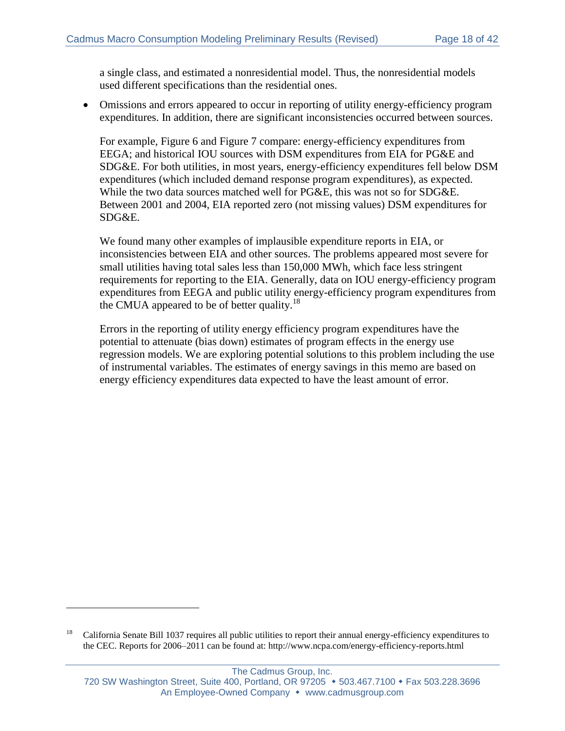a single class, and estimated a nonresidential model. Thus, the nonresidential models used different specifications than the residential ones.

 Omissions and errors appeared to occur in reporting of utility energy-efficiency program expenditures. In addition, there are significant inconsistencies occurred between sources.

For example, [Figure 6](#page-18-0) and [Figure 7](#page-18-1) compare: energy-efficiency expenditures from EEGA; and historical IOU sources with DSM expenditures from EIA for PG&E and SDG&E. For both utilities, in most years, energy-efficiency expenditures fell below DSM expenditures (which included demand response program expenditures), as expected. While the two data sources matched well for PG&E, this was not so for SDG&E. Between 2001 and 2004, EIA reported zero (not missing values) DSM expenditures for SDG&E.

We found many other examples of implausible expenditure reports in EIA, or inconsistencies between EIA and other sources. The problems appeared most severe for small utilities having total sales less than 150,000 MWh, which face less stringent requirements for reporting to the EIA. Generally, data on IOU energy-efficiency program expenditures from EEGA and public utility energy-efficiency program expenditures from the CMUA appeared to be of better quality.<sup>18</sup>

Errors in the reporting of utility energy efficiency program expenditures have the potential to attenuate (bias down) estimates of program effects in the energy use regression models. We are exploring potential solutions to this problem including the use of instrumental variables. The estimates of energy savings in this memo are based on energy efficiency expenditures data expected to have the least amount of error.

 $\overline{a}$ 

<sup>&</sup>lt;sup>18</sup> California Senate Bill 1037 requires all public utilities to report their annual energy-efficiency expenditures to the CEC. Reports for 2006–2011 can be found at: http://www.ncpa.com/energy-efficiency-reports.html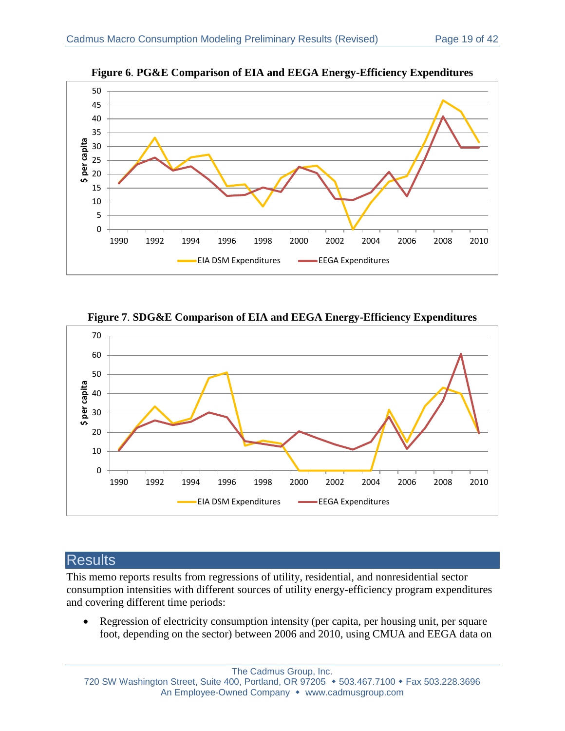<span id="page-18-0"></span>

**Figure 6**. **PG&E Comparison of EIA and EEGA Energy-Efficiency Expenditures**



<span id="page-18-1"></span>

# **Results**

This memo reports results from regressions of utility, residential, and nonresidential sector consumption intensities with different sources of utility energy-efficiency program expenditures and covering different time periods:

• Regression of electricity consumption intensity (per capita, per housing unit, per square foot, depending on the sector) between 2006 and 2010, using CMUA and EEGA data on

The Cadmus Group, Inc. 720 SW Washington Street, Suite 400, Portland, OR 97205 • 503.467.7100 • Fax 503.228.3696 An Employee-Owned Company • www.cadmusgroup.com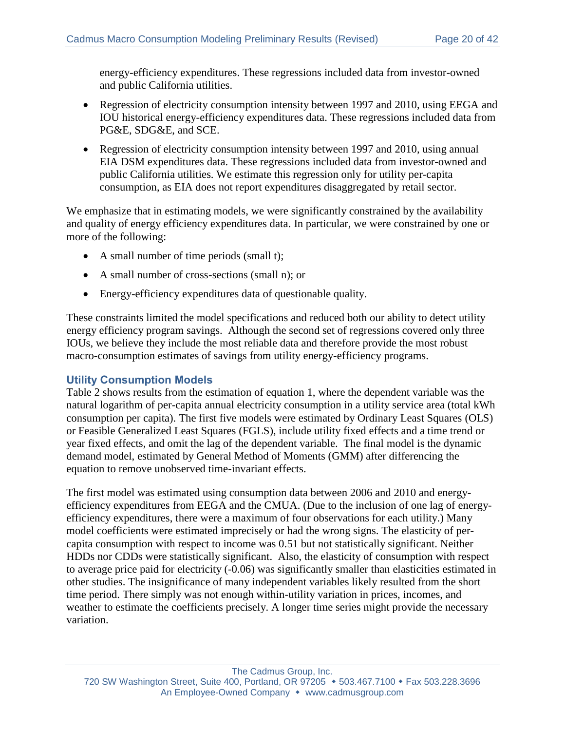energy-efficiency expenditures. These regressions included data from investor-owned and public California utilities.

- Regression of electricity consumption intensity between 1997 and 2010, using EEGA and IOU historical energy-efficiency expenditures data. These regressions included data from PG&E, SDG&E, and SCE.
- Regression of electricity consumption intensity between 1997 and 2010, using annual EIA DSM expenditures data. These regressions included data from investor-owned and public California utilities. We estimate this regression only for utility per-capita consumption, as EIA does not report expenditures disaggregated by retail sector.

We emphasize that in estimating models, we were significantly constrained by the availability and quality of energy efficiency expenditures data. In particular, we were constrained by one or more of the following:

- A small number of time periods (small t);
- A small number of cross-sections (small n); or
- Energy-efficiency expenditures data of questionable quality.

These constraints limited the model specifications and reduced both our ability to detect utility energy efficiency program savings. Although the second set of regressions covered only three IOUs, we believe they include the most reliable data and therefore provide the most robust macro-consumption estimates of savings from utility energy-efficiency programs.

#### **Utility Consumption Models**

[Table 2](#page-20-0) shows results from the estimation of equation 1, where the dependent variable was the natural logarithm of per-capita annual electricity consumption in a utility service area (total kWh consumption per capita). The first five models were estimated by Ordinary Least Squares (OLS) or Feasible Generalized Least Squares (FGLS), include utility fixed effects and a time trend or year fixed effects, and omit the lag of the dependent variable. The final model is the dynamic demand model, estimated by General Method of Moments (GMM) after differencing the equation to remove unobserved time-invariant effects.

The first model was estimated using consumption data between 2006 and 2010 and energyefficiency expenditures from EEGA and the CMUA. (Due to the inclusion of one lag of energyefficiency expenditures, there were a maximum of four observations for each utility.) Many model coefficients were estimated imprecisely or had the wrong signs. The elasticity of percapita consumption with respect to income was 0.51 but not statistically significant. Neither HDDs nor CDDs were statistically significant. Also, the elasticity of consumption with respect to average price paid for electricity (-0.06) was significantly smaller than elasticities estimated in other studies. The insignificance of many independent variables likely resulted from the short time period. There simply was not enough within-utility variation in prices, incomes, and weather to estimate the coefficients precisely. A longer time series might provide the necessary variation.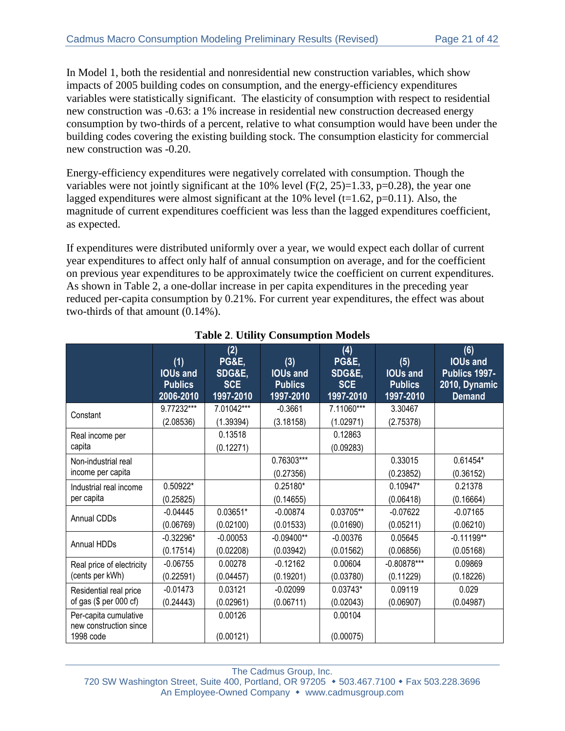In Model 1, both the residential and nonresidential new construction variables, which show impacts of 2005 building codes on consumption, and the energy-efficiency expenditures variables were statistically significant. The elasticity of consumption with respect to residential new construction was -0.63: a 1% increase in residential new construction decreased energy consumption by two-thirds of a percent, relative to what consumption would have been under the building codes covering the existing building stock. The consumption elasticity for commercial new construction was -0.20.

Energy-efficiency expenditures were negatively correlated with consumption. Though the variables were not jointly significant at the 10% level  $(F(2, 25)=1.33, p=0.28)$ , the year one lagged expenditures were almost significant at the 10% level ( $t=1.62$ ,  $p=0.11$ ). Also, the magnitude of current expenditures coefficient was less than the lagged expenditures coefficient, as expected.

If expenditures were distributed uniformly over a year, we would expect each dollar of current year expenditures to affect only half of annual consumption on average, and for the coefficient on previous year expenditures to be approximately twice the coefficient on current expenditures. As shown in [Table 2,](#page-20-0) a one-dollar increase in per capita expenditures in the preceding year reduced per-capita consumption by 0.21%. For current year expenditures, the effect was about two-thirds of that amount (0.14%).

<span id="page-20-0"></span>

|                                                 | (1)<br><b>IOUs and</b><br><b>Publics</b><br>2006-2010 | (2)<br><b>PG&amp;E,</b><br>SDG&E,<br><b>SCE</b><br>1997-2010 | (3)<br><b>IOUs and</b><br><b>Publics</b><br>1997-2010 | (4)<br><b>PG&amp;E,</b><br>SDG&E,<br><b>SCE</b><br>1997-2010 | (5)<br><b>IOUs and</b><br><b>Publics</b><br>1997-2010 | (6)<br><b>IOUs and</b><br>Publics 1997-<br>2010, Dynamic<br><b>Demand</b> |
|-------------------------------------------------|-------------------------------------------------------|--------------------------------------------------------------|-------------------------------------------------------|--------------------------------------------------------------|-------------------------------------------------------|---------------------------------------------------------------------------|
| Constant                                        | 9.77232***                                            | 7.01042***                                                   | $-0.3661$                                             | 7.11060***                                                   | 3.30467                                               |                                                                           |
|                                                 | (2.08536)                                             | (1.39394)                                                    | (3.18158)                                             | (1.02971)                                                    | (2.75378)                                             |                                                                           |
| Real income per                                 |                                                       | 0.13518                                                      |                                                       | 0.12863                                                      |                                                       |                                                                           |
| capita                                          |                                                       | (0.12271)                                                    |                                                       | (0.09283)                                                    |                                                       |                                                                           |
| Non-industrial real                             |                                                       |                                                              | 0.76303***                                            |                                                              | 0.33015                                               | 0.61454*                                                                  |
| income per capita                               |                                                       |                                                              | (0.27356)                                             |                                                              | (0.23852)                                             | (0.36152)                                                                 |
| Industrial real income                          | 0.50922*                                              |                                                              | 0.25180*                                              |                                                              | 0.10947*                                              | 0.21378                                                                   |
| per capita                                      | (0.25825)                                             |                                                              | (0.14655)                                             |                                                              | (0.06418)                                             | (0.16664)                                                                 |
| <b>Annual CDDs</b>                              | $-0.04445$                                            | 0.03651*                                                     | $-0.00874$                                            | 0.03705**                                                    | $-0.07622$                                            | $-0.07165$                                                                |
|                                                 | (0.06769)                                             | (0.02100)                                                    | (0.01533)                                             | (0.01690)                                                    | (0.05211)                                             | (0.06210)                                                                 |
| Annual HDDs                                     | $-0.32296*$                                           | $-0.00053$                                                   | $-0.09400**$                                          | $-0.00376$                                                   | 0.05645                                               | $-0.11199**$                                                              |
|                                                 | (0.17514)                                             | (0.02208)                                                    | (0.03942)                                             | (0.01562)                                                    | (0.06856)                                             | (0.05168)                                                                 |
| Real price of electricity                       | $-0.06755$                                            | 0.00278                                                      | $-0.12162$                                            | 0.00604                                                      | $-0.80878***$                                         | 0.09869                                                                   |
| (cents per kWh)                                 | (0.22591)                                             | (0.04457)                                                    | (0.19201)                                             | (0.03780)                                                    | (0.11229)                                             | (0.18226)                                                                 |
| Residential real price                          | $-0.01473$                                            | 0.03121                                                      | $-0.02099$                                            | $0.03743*$                                                   | 0.09119                                               | 0.029                                                                     |
| of gas (\$ per 000 cf)                          | (0.24443)                                             | (0.02961)                                                    | (0.06711)                                             | (0.02043)                                                    | (0.06907)                                             | (0.04987)                                                                 |
| Per-capita cumulative<br>new construction since |                                                       | 0.00126                                                      |                                                       | 0.00104                                                      |                                                       |                                                                           |
| 1998 code                                       |                                                       | (0.00121)                                                    |                                                       | (0.00075)                                                    |                                                       |                                                                           |

### **Table 2**. **Utility Consumption Models**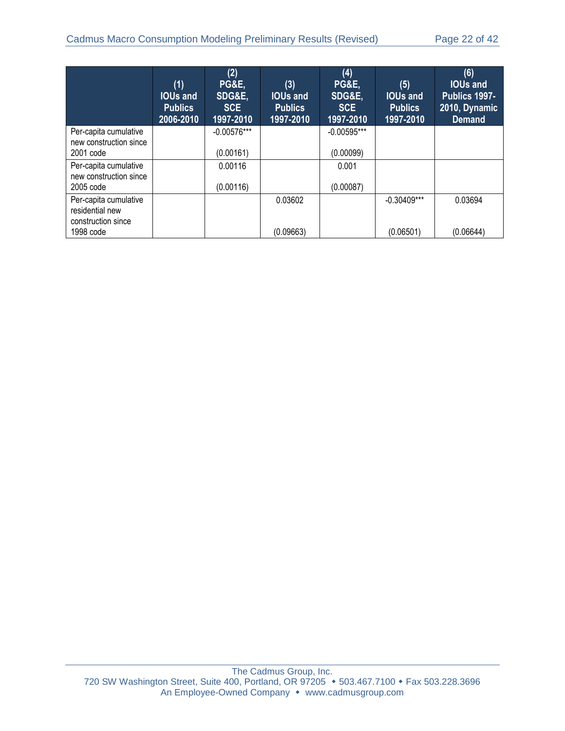|                                                                             | (1)<br><b>IOUs and</b><br><b>Publics</b><br>2006-2010 | (2)<br><b>PG&amp;E,</b><br>SDG&E.<br><b>SCE</b><br>1997-2010 | (3)<br><b>IOUs and</b><br><b>Publics</b><br>1997-2010 | (4)<br><b>PG&amp;E,</b><br>SDG&E,<br><b>SCE</b><br>1997-2010 | (5)<br><b>IOUs and</b><br><b>Publics</b><br>1997-2010 | (6)<br><b>IOUs and</b><br>Publics 1997-<br>2010, Dynamic<br><b>Demand</b> |
|-----------------------------------------------------------------------------|-------------------------------------------------------|--------------------------------------------------------------|-------------------------------------------------------|--------------------------------------------------------------|-------------------------------------------------------|---------------------------------------------------------------------------|
| Per-capita cumulative<br>new construction since<br>2001 code                |                                                       | $-0.00576***$<br>(0.00161)                                   |                                                       | $-0.00595***$<br>(0.00099)                                   |                                                       |                                                                           |
| Per-capita cumulative<br>new construction since<br>2005 code                |                                                       | 0.00116<br>(0.00116)                                         |                                                       | 0.001<br>(0.00087)                                           |                                                       |                                                                           |
| Per-capita cumulative<br>residential new<br>construction since<br>1998 code |                                                       |                                                              | 0.03602<br>(0.09663)                                  |                                                              | $-0.30409***$<br>(0.06501)                            | 0.03694<br>(0.06644)                                                      |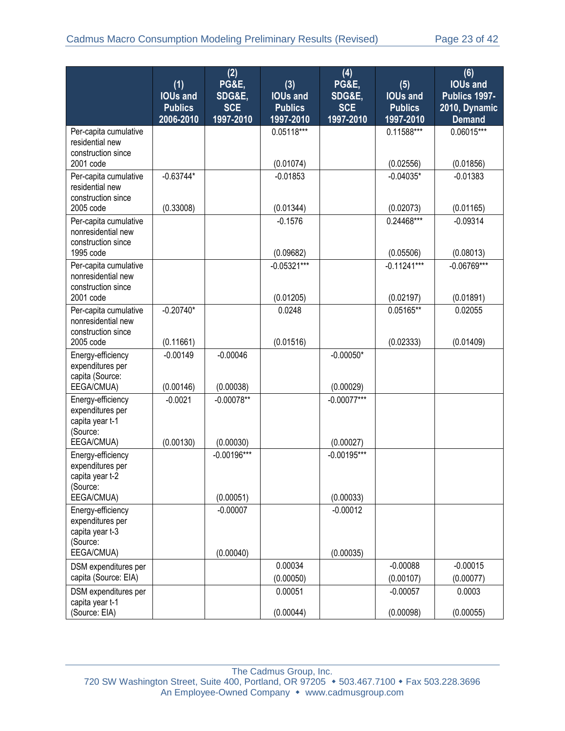|                                                                      | (1)<br><b>IOUs and</b>      | (2)<br>PG&E,<br>SDG&E,  | (3)<br><b>IOUs and</b>      | (4)<br>PG&E,                      | (5)<br><b>IOUs and</b>      | (6)<br><b>IOUs and</b><br>Publics 1997- |
|----------------------------------------------------------------------|-----------------------------|-------------------------|-----------------------------|-----------------------------------|-----------------------------|-----------------------------------------|
|                                                                      | <b>Publics</b><br>2006-2010 | <b>SCE</b><br>1997-2010 | <b>Publics</b><br>1997-2010 | SDG&E,<br><b>SCE</b><br>1997-2010 | <b>Publics</b><br>1997-2010 | 2010, Dynamic<br><b>Demand</b>          |
| Per-capita cumulative                                                |                             |                         | $0.05118***$                |                                   | $0.11588***$                | $0.06015***$                            |
| residential new                                                      |                             |                         |                             |                                   |                             |                                         |
| construction since<br>2001 code                                      |                             |                         | (0.01074)                   |                                   | (0.02556)                   | (0.01856)                               |
| Per-capita cumulative<br>residential new                             | $-0.63744*$                 |                         | $-0.01853$                  |                                   | $-0.04035*$                 | $-0.01383$                              |
| construction since<br>2005 code                                      | (0.33008)                   |                         | (0.01344)                   |                                   | (0.02073)                   | (0.01165)                               |
| Per-capita cumulative                                                |                             |                         | $-0.1576$                   |                                   | 0.24468***                  | $-0.09314$                              |
| nonresidential new<br>construction since                             |                             |                         |                             |                                   |                             |                                         |
| 1995 code                                                            |                             |                         | (0.09682)                   |                                   | (0.05506)                   | (0.08013)                               |
| Per-capita cumulative<br>nonresidential new<br>construction since    |                             |                         | $-0.05321***$               |                                   | $-0.11241***$               | $-0.06769***$                           |
| 2001 code                                                            |                             |                         | (0.01205)                   |                                   | (0.02197)                   | (0.01891)                               |
| Per-capita cumulative<br>nonresidential new<br>construction since    | $-0.20740*$                 |                         | 0.0248                      |                                   | 0.05165**                   | 0.02055                                 |
| 2005 code                                                            | (0.11661)                   |                         | (0.01516)                   |                                   | (0.02333)                   | (0.01409)                               |
| Energy-efficiency<br>expenditures per<br>capita (Source:             | $-0.00149$                  | $-0.00046$              |                             | $-0.00050*$                       |                             |                                         |
| EEGA/CMUA)                                                           | (0.00146)                   | (0.00038)               |                             | (0.00029)                         |                             |                                         |
| Energy-efficiency<br>expenditures per<br>capita year t-1<br>(Source: | $-0.0021$                   | $-0.00078**$            |                             | $-0.00077***$                     |                             |                                         |
| EEGA/CMUA)                                                           | (0.00130)                   | (0.00030)               |                             | (0.00027)                         |                             |                                         |
| Energy-efficiency<br>expenditures per<br>capita year t-2<br>(Source: |                             | $-0.00196***$           |                             | $-0.00195***$                     |                             |                                         |
| EEGA/CMUA)                                                           |                             | (0.00051)               |                             | (0.00033)                         |                             |                                         |
| Energy-efficiency<br>expenditures per<br>capita year t-3<br>(Source: |                             | $-0.00007$              |                             | $-0.00012$                        |                             |                                         |
| EEGA/CMUA)                                                           |                             | (0.00040)               |                             | (0.00035)                         |                             |                                         |
| DSM expenditures per                                                 |                             |                         | 0.00034                     |                                   | $-0.00088$                  | $-0.00015$                              |
| capita (Source: EIA)                                                 |                             |                         | (0.00050)                   |                                   | (0.00107)                   | (0.00077)                               |
| DSM expenditures per<br>capita year t-1                              |                             |                         | 0.00051                     |                                   | $-0.00057$                  | 0.0003                                  |
| (Source: EIA)                                                        |                             |                         | (0.00044)                   |                                   | (0.00098)                   | (0.00055)                               |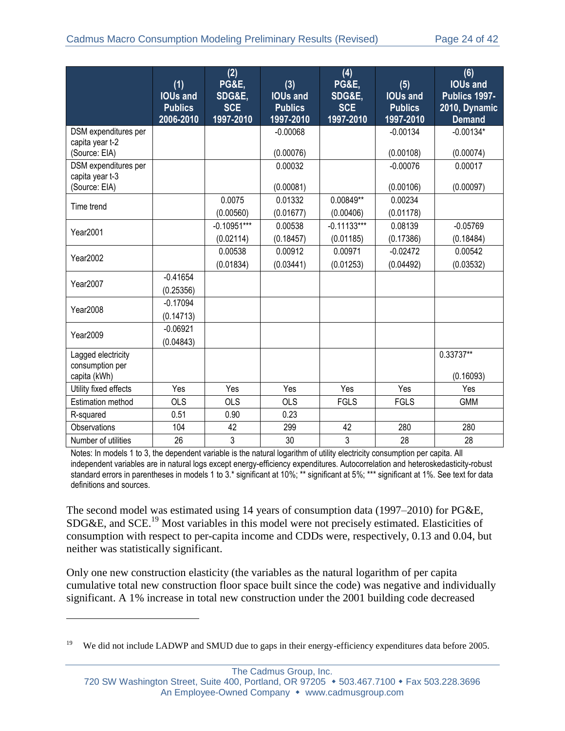|                                                          | (1)                                            | (2)<br><b>PG&amp;E,</b>           | (3)                                            | (4)<br><b>PG&amp;E,</b>           | (5)                                            | (6)<br><b>IOUs and</b>                          |
|----------------------------------------------------------|------------------------------------------------|-----------------------------------|------------------------------------------------|-----------------------------------|------------------------------------------------|-------------------------------------------------|
|                                                          | <b>IOUs and</b><br><b>Publics</b><br>2006-2010 | SDG&E,<br><b>SCE</b><br>1997-2010 | <b>IOUs and</b><br><b>Publics</b><br>1997-2010 | SDG&E,<br><b>SCE</b><br>1997-2010 | <b>IOUs and</b><br><b>Publics</b><br>1997-2010 | Publics 1997-<br>2010, Dynamic<br><b>Demand</b> |
| DSM expenditures per<br>capita year t-2<br>(Source: EIA) |                                                |                                   | $-0.00068$<br>(0.00076)                        |                                   | $-0.00134$<br>(0.00108)                        | $-0.00134*$<br>(0.00074)                        |
| DSM expenditures per<br>capita year t-3<br>(Source: EIA) |                                                |                                   | 0.00032<br>(0.00081)                           |                                   | $-0.00076$<br>(0.00106)                        | 0.00017<br>(0.00097)                            |
| Time trend                                               |                                                | 0.0075<br>(0.00560)               | 0.01332<br>(0.01677)                           | 0.00849**<br>(0.00406)            | 0.00234<br>(0.01178)                           |                                                 |
| <b>Year2001</b>                                          |                                                | $-0.10951***$<br>(0.02114)        | 0.00538<br>(0.18457)                           | $-0.11133***$<br>(0.01185)        | 0.08139<br>(0.17386)                           | $-0.05769$<br>(0.18484)                         |
| Year2002                                                 |                                                | 0.00538<br>(0.01834)              | 0.00912<br>(0.03441)                           | 0.00971<br>(0.01253)              | $-0.02472$<br>(0.04492)                        | 0.00542<br>(0.03532)                            |
| Year2007                                                 | $-0.41654$<br>(0.25356)                        |                                   |                                                |                                   |                                                |                                                 |
| Year2008                                                 | $-0.17094$<br>(0.14713)                        |                                   |                                                |                                   |                                                |                                                 |
| Year2009                                                 | $-0.06921$<br>(0.04843)                        |                                   |                                                |                                   |                                                |                                                 |
| Lagged electricity<br>consumption per<br>capita (kWh)    |                                                |                                   |                                                |                                   |                                                | $0.33737**$<br>(0.16093)                        |
| Utility fixed effects                                    | Yes                                            | Yes                               | Yes                                            | Yes                               | Yes                                            | Yes                                             |
| <b>Estimation method</b>                                 | <b>OLS</b>                                     | <b>OLS</b>                        | <b>OLS</b>                                     | <b>FGLS</b>                       | <b>FGLS</b>                                    | <b>GMM</b>                                      |
| R-squared                                                | 0.51                                           | 0.90                              | 0.23                                           |                                   |                                                |                                                 |
| Observations                                             | 104                                            | 42                                | 299                                            | 42                                | 280                                            | 280                                             |
| Number of utilities                                      | 26                                             | 3                                 | 30                                             | 3                                 | 28                                             | 28                                              |

Notes: In models 1 to 3, the dependent variable is the natural logarithm of utility electricity consumption per capita. All independent variables are in natural logs except energy-efficiency expenditures. Autocorrelation and heteroskedasticity-robust standard errors in parentheses in models 1 to 3.\* significant at 10%; \*\* significant at 5%; \*\*\* significant at 1%. See text for data definitions and sources.

The second model was estimated using 14 years of consumption data (1997–2010) for PG&E, SDG&E, and SCE.<sup>19</sup> Most variables in this model were not precisely estimated. Elasticities of consumption with respect to per-capita income and CDDs were, respectively, 0.13 and 0.04, but neither was statistically significant.

Only one new construction elasticity (the variables as the natural logarithm of per capita cumulative total new construction floor space built since the code) was negative and individually significant. A 1% increase in total new construction under the 2001 building code decreased

 $\overline{a}$ 

The Cadmus Group, Inc.

We did not include LADWP and SMUD due to gaps in their energy-efficiency expenditures data before 2005.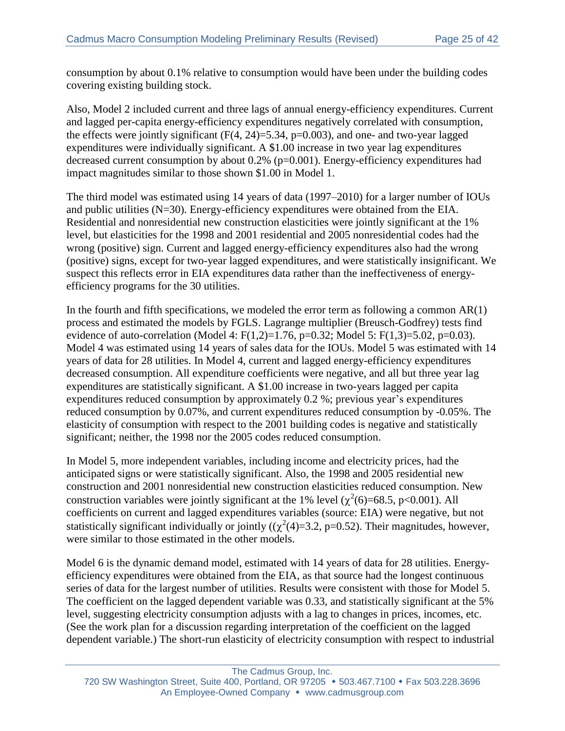consumption by about 0.1% relative to consumption would have been under the building codes covering existing building stock.

Also, Model 2 included current and three lags of annual energy-efficiency expenditures. Current and lagged per-capita energy-efficiency expenditures negatively correlated with consumption, the effects were jointly significant  $(F(4, 24)=5.34, p=0.003)$ , and one- and two-year lagged expenditures were individually significant. A \$1.00 increase in two year lag expenditures decreased current consumption by about 0.2% (p=0.001). Energy-efficiency expenditures had impact magnitudes similar to those shown \$1.00 in Model 1.

The third model was estimated using 14 years of data (1997–2010) for a larger number of IOUs and public utilities (N=30). Energy-efficiency expenditures were obtained from the EIA. Residential and nonresidential new construction elasticities were jointly significant at the 1% level, but elasticities for the 1998 and 2001 residential and 2005 nonresidential codes had the wrong (positive) sign. Current and lagged energy-efficiency expenditures also had the wrong (positive) signs, except for two-year lagged expenditures, and were statistically insignificant. We suspect this reflects error in EIA expenditures data rather than the ineffectiveness of energyefficiency programs for the 30 utilities.

In the fourth and fifth specifications, we modeled the error term as following a common  $AR(1)$ process and estimated the models by FGLS. Lagrange multiplier (Breusch-Godfrey) tests find evidence of auto-correlation (Model 4:  $F(1,2)=1.76$ , p=0.32; Model 5:  $F(1,3)=5.02$ , p=0.03). Model 4 was estimated using 14 years of sales data for the IOUs. Model 5 was estimated with 14 years of data for 28 utilities. In Model 4, current and lagged energy-efficiency expenditures decreased consumption. All expenditure coefficients were negative, and all but three year lag expenditures are statistically significant. A \$1.00 increase in two-years lagged per capita expenditures reduced consumption by approximately 0.2 %; previous year's expenditures reduced consumption by 0.07%, and current expenditures reduced consumption by -0.05%. The elasticity of consumption with respect to the 2001 building codes is negative and statistically significant; neither, the 1998 nor the 2005 codes reduced consumption.

In Model 5, more independent variables, including income and electricity prices, had the anticipated signs or were statistically significant. Also, the 1998 and 2005 residential new construction and 2001 nonresidential new construction elasticities reduced consumption. New construction variables were jointly significant at the 1% level ( $\chi^2(6)=68.5$ , p<0.001). All coefficients on current and lagged expenditures variables (source: EIA) were negative, but not statistically significant individually or jointly  $((\chi^2(4)=3.2, p=0.52)$ . Their magnitudes, however, were similar to those estimated in the other models.

Model 6 is the dynamic demand model, estimated with 14 years of data for 28 utilities. Energyefficiency expenditures were obtained from the EIA, as that source had the longest continuous series of data for the largest number of utilities. Results were consistent with those for Model 5. The coefficient on the lagged dependent variable was 0.33, and statistically significant at the 5% level, suggesting electricity consumption adjusts with a lag to changes in prices, incomes, etc. (See the work plan for a discussion regarding interpretation of the coefficient on the lagged dependent variable.) The short-run elasticity of electricity consumption with respect to industrial

The Cadmus Group, Inc.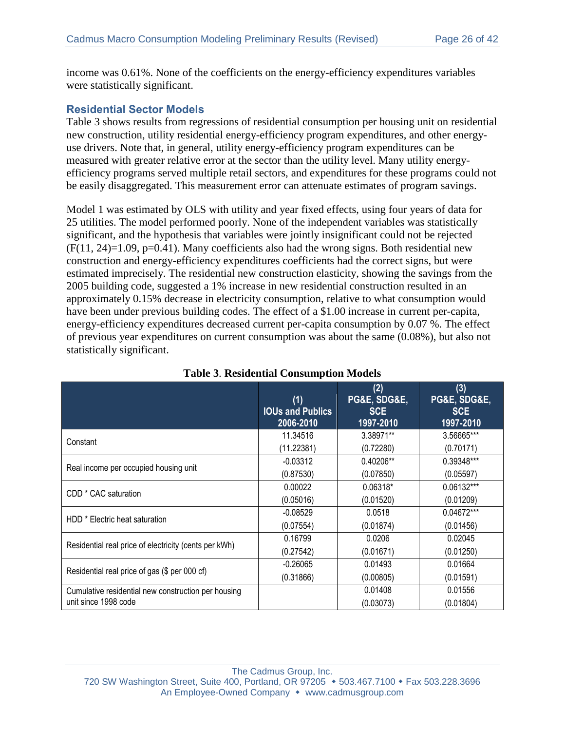income was 0.61%. None of the coefficients on the energy-efficiency expenditures variables were statistically significant.

#### **Residential Sector Models**

[Table 3](#page-25-0) shows results from regressions of residential consumption per housing unit on residential new construction, utility residential energy-efficiency program expenditures, and other energyuse drivers. Note that, in general, utility energy-efficiency program expenditures can be measured with greater relative error at the sector than the utility level. Many utility energyefficiency programs served multiple retail sectors, and expenditures for these programs could not be easily disaggregated. This measurement error can attenuate estimates of program savings.

Model 1 was estimated by OLS with utility and year fixed effects, using four years of data for 25 utilities. The model performed poorly. None of the independent variables was statistically significant, and the hypothesis that variables were jointly insignificant could not be rejected  $(F(11, 24)=1.09, p=0.41)$ . Many coefficients also had the wrong signs. Both residential new construction and energy-efficiency expenditures coefficients had the correct signs, but were estimated imprecisely. The residential new construction elasticity, showing the savings from the 2005 building code, suggested a 1% increase in new residential construction resulted in an approximately 0.15% decrease in electricity consumption, relative to what consumption would have been under previous building codes. The effect of a \$1.00 increase in current per-capita, energy-efficiency expenditures decreased current per-capita consumption by 0.07 %. The effect of previous year expenditures on current consumption was about the same (0.08%), but also not statistically significant.

<span id="page-25-0"></span>

|                                                       | (1)<br><b>IOUs and Publics</b><br>2006-2010 | (2)<br>PG&E, SDG&E,<br><b>SCE</b><br>1997-2010 | (3)<br>PG&E, SDG&E,<br><b>SCE</b><br>1997-2010 |
|-------------------------------------------------------|---------------------------------------------|------------------------------------------------|------------------------------------------------|
|                                                       | 11.34516                                    | 3.38971**                                      | 3.56665***                                     |
| Constant                                              | (11.22381)                                  | (0.72280)                                      | (0.70171)                                      |
|                                                       | $-0.03312$                                  | 0.40206**                                      | 0.39348***                                     |
| Real income per occupied housing unit                 | (0.87530)                                   | (0.07850)                                      | (0.05597)                                      |
|                                                       | 0.00022                                     | 0.06318*                                       | 0.06132***                                     |
| CDD <sup>*</sup> CAC saturation                       | (0.05016)                                   | (0.01520)                                      | (0.01209)                                      |
| HDD <sup>*</sup> Electric heat saturation             | $-0.08529$                                  | 0.0518                                         | $0.04672***$                                   |
|                                                       | (0.07554)                                   | (0.01874)                                      | (0.01456)                                      |
| Residential real price of electricity (cents per kWh) | 0.16799                                     | 0.0206                                         | 0.02045                                        |
|                                                       | (0.27542)                                   | (0.01671)                                      | (0.01250)                                      |
| Residential real price of gas (\$ per 000 cf)         | $-0.26065$                                  | 0.01493                                        | 0.01664                                        |
|                                                       | (0.31866)                                   | (0.00805)                                      | (0.01591)                                      |
| Cumulative residential new construction per housing   |                                             | 0.01408                                        | 0.01556                                        |
| unit since 1998 code                                  |                                             | (0.03073)                                      | (0.01804)                                      |

#### **Table 3**. **Residential Consumption Models**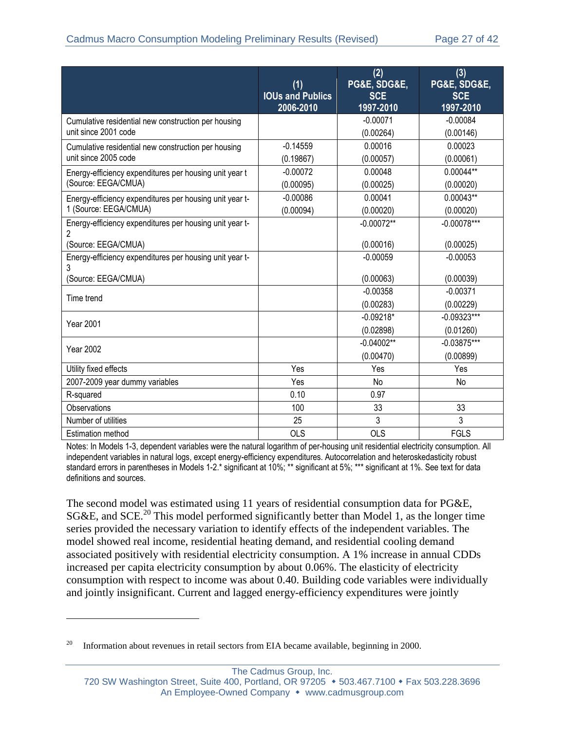|                                                                                     | (1)<br><b>IOUs and Publics</b><br>2006-2010 | (2)<br>PG&E, SDG&E,<br><b>SCE</b><br>1997-2010 | (3)<br>PG&E, SDG&E,<br><b>SCE</b><br>1997-2010 |
|-------------------------------------------------------------------------------------|---------------------------------------------|------------------------------------------------|------------------------------------------------|
| Cumulative residential new construction per housing<br>unit since 2001 code         |                                             | $-0.00071$<br>(0.00264)                        | $-0.00084$<br>(0.00146)                        |
| Cumulative residential new construction per housing<br>unit since 2005 code         | $-0.14559$<br>(0.19867)                     | 0.00016<br>(0.00057)                           | 0.00023<br>(0.00061)                           |
| Energy-efficiency expenditures per housing unit year t<br>(Source: EEGA/CMUA)       | $-0.00072$<br>(0.00095)                     | 0.00048<br>(0.00025)                           | $0.00044**$<br>(0.00020)                       |
| Energy-efficiency expenditures per housing unit year t-<br>1 (Source: EEGA/CMUA)    | $-0.00086$<br>(0.00094)                     | 0.00041<br>(0.00020)                           | $0.00043**$<br>(0.00020)                       |
| Energy-efficiency expenditures per housing unit year t-<br>2                        |                                             | $-0.00072**$                                   | $-0.00078***$                                  |
| (Source: EEGA/CMUA)<br>Energy-efficiency expenditures per housing unit year t-<br>3 |                                             | (0.00016)<br>$-0.00059$                        | (0.00025)<br>$-0.00053$                        |
| (Source: EEGA/CMUA)                                                                 |                                             | (0.00063)                                      | (0.00039)                                      |
| Time trend                                                                          |                                             | $-0.00358$<br>(0.00283)                        | $-0.00371$<br>(0.00229)                        |
| <b>Year 2001</b>                                                                    |                                             | $-0.09218*$<br>(0.02898)                       | $-0.09323***$<br>(0.01260)                     |
| <b>Year 2002</b>                                                                    |                                             | $-0.04002**$<br>(0.00470)                      | $-0.03875***$<br>(0.00899)                     |
| Utility fixed effects                                                               | Yes                                         | Yes                                            | Yes                                            |
| 2007-2009 year dummy variables                                                      | Yes                                         | No                                             | No                                             |
| R-squared                                                                           | 0.10                                        | 0.97                                           |                                                |
| <b>Observations</b>                                                                 | 100                                         | 33                                             | 33                                             |
| Number of utilities                                                                 | 25                                          | 3                                              | 3                                              |
| <b>Estimation method</b>                                                            | <b>OLS</b>                                  | <b>OLS</b>                                     | <b>FGLS</b>                                    |

Notes: In Models 1-3, dependent variables were the natural logarithm of per-housing unit residential electricity consumption. All independent variables in natural logs, except energy-efficiency expenditures. Autocorrelation and heteroskedasticity robust standard errors in parentheses in Models 1-2.\* significant at 10%; \*\* significant at 5%; \*\*\* significant at 1%. See text for data definitions and sources.

The second model was estimated using 11 years of residential consumption data for PG&E,  $SG&E$ , and  $SCE<sup>20</sup>$  This model performed significantly better than Model 1, as the longer time series provided the necessary variation to identify effects of the independent variables. The model showed real income, residential heating demand, and residential cooling demand associated positively with residential electricity consumption. A 1% increase in annual CDDs increased per capita electricity consumption by about 0.06%. The elasticity of electricity consumption with respect to income was about 0.40. Building code variables were individually and jointly insignificant. Current and lagged energy-efficiency expenditures were jointly

 $\overline{a}$ 

 $20$  Information about revenues in retail sectors from EIA became available, beginning in 2000.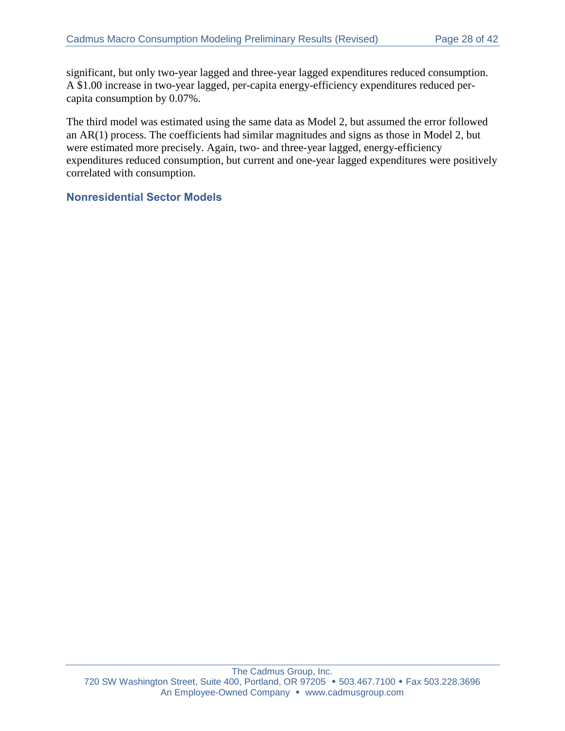significant, but only two-year lagged and three-year lagged expenditures reduced consumption. A \$1.00 increase in two-year lagged, per-capita energy-efficiency expenditures reduced percapita consumption by 0.07%.

The third model was estimated using the same data as Model 2, but assumed the error followed an AR(1) process. The coefficients had similar magnitudes and signs as those in Model 2, but were estimated more precisely. Again, two- and three-year lagged, energy-efficiency expenditures reduced consumption, but current and one-year lagged expenditures were positively correlated with consumption.

#### **Nonresidential Sector Models**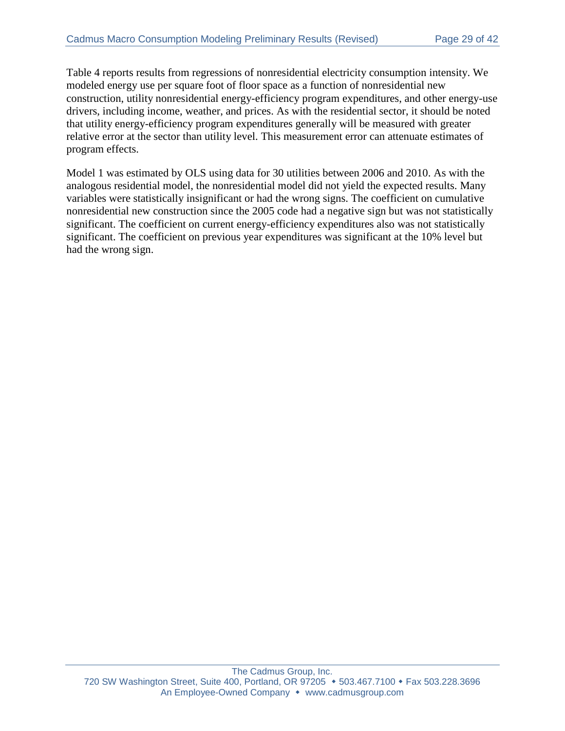Table 4 reports results from regressions of nonresidential electricity consumption intensity. We modeled energy use per square foot of floor space as a function of nonresidential new construction, utility nonresidential energy-efficiency program expenditures, and other energy-use drivers, including income, weather, and prices. As with the residential sector, it should be noted that utility energy-efficiency program expenditures generally will be measured with greater relative error at the sector than utility level. This measurement error can attenuate estimates of program effects.

Model 1 was estimated by OLS using data for 30 utilities between 2006 and 2010. As with the analogous residential model, the nonresidential model did not yield the expected results. Many variables were statistically insignificant or had the wrong signs. The coefficient on cumulative nonresidential new construction since the 2005 code had a negative sign but was not statistically significant. The coefficient on current energy-efficiency expenditures also was not statistically significant. The coefficient on previous year expenditures was significant at the 10% level but had the wrong sign.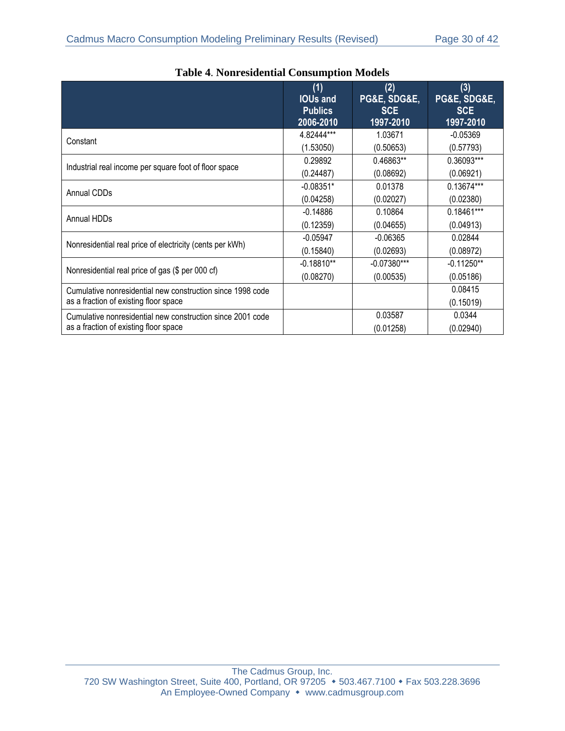|                                                            | (1)<br><b>IOUs and</b><br><b>Publics</b><br>2006-2010 | (2)<br>PG&E, SDG&E,<br><b>SCE</b><br>1997-2010 | (3)<br>PG&E, SDG&E,<br><b>SCE</b><br>1997-2010 |
|------------------------------------------------------------|-------------------------------------------------------|------------------------------------------------|------------------------------------------------|
| Constant                                                   | 4.82444***                                            | 1.03671                                        | $-0.05369$                                     |
|                                                            | (1.53050)                                             | (0.50653)                                      | (0.57793)                                      |
| Industrial real income per square foot of floor space      | 0.29892                                               | 0.46863**                                      | 0.36093***                                     |
|                                                            | (0.24487)                                             | (0.08692)                                      | (0.06921)                                      |
| Annual CDDs                                                | $-0.08351*$                                           | 0.01378                                        | 0.13674***                                     |
|                                                            | (0.04258)                                             | (0.02027)                                      | (0.02380)                                      |
| Annual HDDs                                                | $-0.14886$                                            | 0.10864                                        | 0.18461***                                     |
|                                                            | (0.12359)                                             | (0.04655)                                      | (0.04913)                                      |
| Nonresidential real price of electricity (cents per kWh)   | $-0.05947$                                            | $-0.06365$                                     | 0.02844                                        |
|                                                            | (0.15840)                                             | (0.02693)                                      | (0.08972)                                      |
| Nonresidential real price of gas (\$ per 000 cf)           | $-0.18810**$                                          | $-0.07380***$                                  | $-0.11250**$                                   |
|                                                            | (0.08270)                                             | (0.00535)                                      | (0.05186)                                      |
| Cumulative nonresidential new construction since 1998 code |                                                       |                                                | 0.08415                                        |
| as a fraction of existing floor space                      |                                                       |                                                | (0.15019)                                      |
| Cumulative nonresidential new construction since 2001 code |                                                       | 0.03587                                        | 0.0344                                         |
| as a fraction of existing floor space                      |                                                       | (0.01258)                                      | (0.02940)                                      |

| <b>Table 4. Nonresidential Consumption Models</b> |  |
|---------------------------------------------------|--|
|                                                   |  |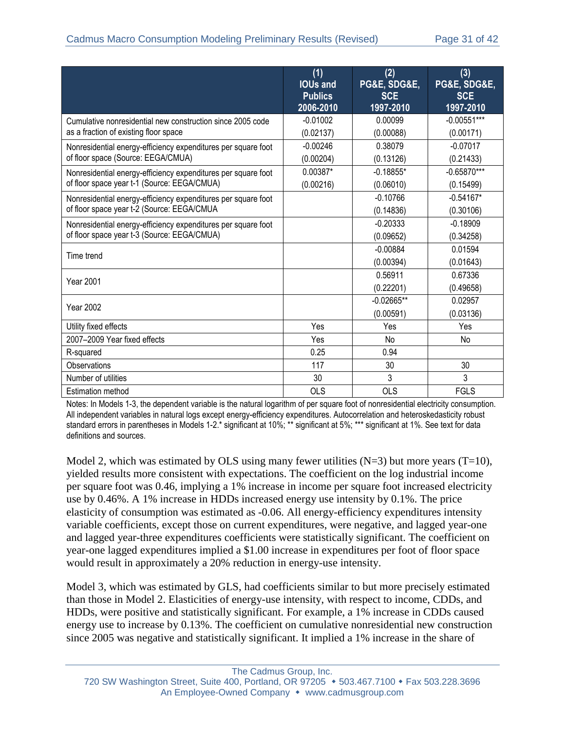|                                                                                                              | (1)<br><b>IOUs and</b><br><b>Publics</b><br>2006-2010 | (2)<br>PG&E, SDG&E,<br><b>SCE</b><br>1997-2010 | (3)<br>PG&E, SDG&E,<br><b>SCE</b><br>1997-2010 |
|--------------------------------------------------------------------------------------------------------------|-------------------------------------------------------|------------------------------------------------|------------------------------------------------|
| Cumulative nonresidential new construction since 2005 code<br>as a fraction of existing floor space          | $-0.01002$<br>(0.02137)                               | 0.00099<br>(0.00088)                           | $-0.00551***$<br>(0.00171)                     |
| Nonresidential energy-efficiency expenditures per square foot<br>of floor space (Source: EEGA/CMUA)          | $-0.00246$<br>(0.00204)                               | 0.38079<br>(0.13126)                           | $-0.07017$<br>(0.21433)                        |
| Nonresidential energy-efficiency expenditures per square foot<br>of floor space year t-1 (Source: EEGA/CMUA) | 0.00387*<br>(0.00216)                                 | $-0.18855*$<br>(0.06010)                       | $-0.65870***$<br>(0.15499)                     |
| Nonresidential energy-efficiency expenditures per square foot<br>of floor space year t-2 (Source: EEGA/CMUA  |                                                       | $-0.10766$<br>(0.14836)                        | $-0.54167*$<br>(0.30106)                       |
| Nonresidential energy-efficiency expenditures per square foot<br>of floor space year t-3 (Source: EEGA/CMUA) |                                                       | $-0.20333$<br>(0.09652)                        | $-0.18909$<br>(0.34258)                        |
| Time trend                                                                                                   |                                                       | $-0.00884$<br>(0.00394)                        | 0.01594<br>(0.01643)                           |
| <b>Year 2001</b>                                                                                             |                                                       | 0.56911<br>(0.22201)                           | 0.67336<br>(0.49658)                           |
| <b>Year 2002</b>                                                                                             |                                                       | $-0.02665**$<br>(0.00591)                      | 0.02957<br>(0.03136)                           |
| Utility fixed effects                                                                                        | Yes                                                   | Yes                                            | Yes                                            |
| 2007-2009 Year fixed effects                                                                                 | Yes                                                   | No                                             | No                                             |
| R-squared                                                                                                    | 0.25                                                  | 0.94                                           |                                                |
| Observations                                                                                                 | 117                                                   | 30                                             | 30                                             |
| Number of utilities                                                                                          | 30                                                    | 3                                              | 3                                              |
| <b>Estimation method</b>                                                                                     | <b>OLS</b>                                            | <b>OLS</b>                                     | <b>FGLS</b>                                    |

Notes: In Models 1-3, the dependent variable is the natural logarithm of per square foot of nonresidential electricity consumption. All independent variables in natural logs except energy-efficiency expenditures. Autocorrelation and heteroskedasticity robust standard errors in parentheses in Models 1-2.\* significant at 10%; \*\* significant at 5%; \*\*\* significant at 1%. See text for data definitions and sources.

Model 2, which was estimated by OLS using many fewer utilities  $(N=3)$  but more years  $(T=10)$ , yielded results more consistent with expectations. The coefficient on the log industrial income per square foot was 0.46, implying a 1% increase in income per square foot increased electricity use by 0.46%. A 1% increase in HDDs increased energy use intensity by 0.1%. The price elasticity of consumption was estimated as -0.06. All energy-efficiency expenditures intensity variable coefficients, except those on current expenditures, were negative, and lagged year-one and lagged year-three expenditures coefficients were statistically significant. The coefficient on year-one lagged expenditures implied a \$1.00 increase in expenditures per foot of floor space would result in approximately a 20% reduction in energy-use intensity.

Model 3, which was estimated by GLS, had coefficients similar to but more precisely estimated than those in Model 2. Elasticities of energy-use intensity, with respect to income, CDDs, and HDDs, were positive and statistically significant. For example, a 1% increase in CDDs caused energy use to increase by 0.13%. The coefficient on cumulative nonresidential new construction since 2005 was negative and statistically significant. It implied a 1% increase in the share of

The Cadmus Group, Inc. 720 SW Washington Street, Suite 400, Portland, OR 97205 • 503.467.7100 • Fax 503.228.3696 An Employee-Owned Company • www.cadmusgroup.com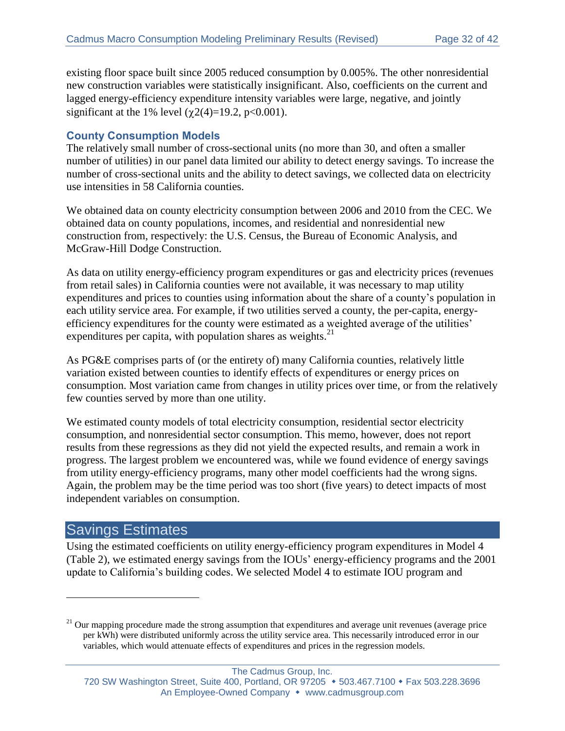existing floor space built since 2005 reduced consumption by 0.005%. The other nonresidential new construction variables were statistically insignificant. Also, coefficients on the current and lagged energy-efficiency expenditure intensity variables were large, negative, and jointly significant at the 1% level  $(\gamma 2(4)=19.2, \text{ p}<0.001)$ .

### **County Consumption Models**

The relatively small number of cross-sectional units (no more than 30, and often a smaller number of utilities) in our panel data limited our ability to detect energy savings. To increase the number of cross-sectional units and the ability to detect savings, we collected data on electricity use intensities in 58 California counties.

We obtained data on county electricity consumption between 2006 and 2010 from the CEC. We obtained data on county populations, incomes, and residential and nonresidential new construction from, respectively: the U.S. Census, the Bureau of Economic Analysis, and McGraw-Hill Dodge Construction.

As data on utility energy-efficiency program expenditures or gas and electricity prices (revenues from retail sales) in California counties were not available, it was necessary to map utility expenditures and prices to counties using information about the share of a county's population in each utility service area. For example, if two utilities served a county, the per-capita, energyefficiency expenditures for the county were estimated as a weighted average of the utilities' expenditures per capita, with population shares as weights. $^{21}$ 

As PG&E comprises parts of (or the entirety of) many California counties, relatively little variation existed between counties to identify effects of expenditures or energy prices on consumption. Most variation came from changes in utility prices over time, or from the relatively few counties served by more than one utility.

We estimated county models of total electricity consumption, residential sector electricity consumption, and nonresidential sector consumption. This memo, however, does not report results from these regressions as they did not yield the expected results, and remain a work in progress. The largest problem we encountered was, while we found evidence of energy savings from utility energy-efficiency programs, many other model coefficients had the wrong signs. Again, the problem may be the time period was too short (five years) to detect impacts of most independent variables on consumption.

# Savings Estimates

 $\overline{a}$ 

Using the estimated coefficients on utility energy-efficiency program expenditures in Model 4 [\(Table 2\)](#page-20-0), we estimated energy savings from the IOUs' energy-efficiency programs and the 2001 update to California's building codes. We selected Model 4 to estimate IOU program and

#### The Cadmus Group, Inc.

<sup>&</sup>lt;sup>21</sup> Our mapping procedure made the strong assumption that expenditures and average unit revenues (average price per kWh) were distributed uniformly across the utility service area. This necessarily introduced error in our variables, which would attenuate effects of expenditures and prices in the regression models.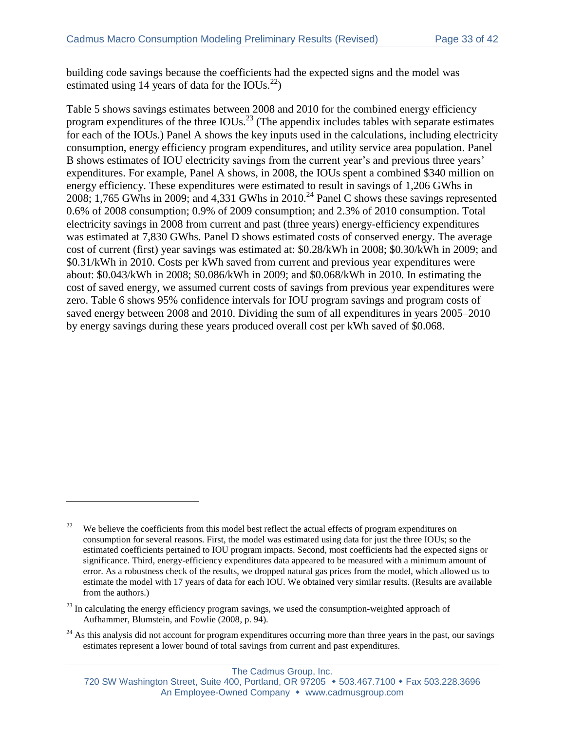building code savings because the coefficients had the expected signs and the model was estimated using 14 years of data for the IOUs. $^{22}$ )

[Table 5](#page-33-0) shows savings estimates between 2008 and 2010 for the combined energy efficiency program expenditures of the three  $IOUs.<sup>23</sup>$  (The appendix includes tables with separate estimates for each of the IOUs.) Panel A shows the key inputs used in the calculations, including electricity consumption, energy efficiency program expenditures, and utility service area population. Panel B shows estimates of IOU electricity savings from the current year's and previous three years' expenditures. For example, Panel A shows, in 2008, the IOUs spent a combined \$340 million on energy efficiency. These expenditures were estimated to result in savings of 1,206 GWhs in 2008; 1,765 GWhs in 2009; and 4,331 GWhs in 2010.<sup>24</sup> Panel C shows these savings represented 0.6% of 2008 consumption; 0.9% of 2009 consumption; and 2.3% of 2010 consumption. Total electricity savings in 2008 from current and past (three years) energy-efficiency expenditures was estimated at 7,830 GWhs. Panel D shows estimated costs of conserved energy. The average cost of current (first) year savings was estimated at: \$0.28/kWh in 2008; \$0.30/kWh in 2009; and \$0.31/kWh in 2010. Costs per kWh saved from current and previous year expenditures were about: \$0.043/kWh in 2008; \$0.086/kWh in 2009; and \$0.068/kWh in 2010. In estimating the cost of saved energy, we assumed current costs of savings from previous year expenditures were zero. [Table 6](#page-34-0) shows 95% confidence intervals for IOU program savings and program costs of saved energy between 2008 and 2010. Dividing the sum of all expenditures in years 2005–2010 by energy savings during these years produced overall cost per kWh saved of \$0.068.

 $\overline{a}$ 

<sup>&</sup>lt;sup>22</sup> We believe the coefficients from this model best reflect the actual effects of program expenditures on consumption for several reasons. First, the model was estimated using data for just the three IOUs; so the estimated coefficients pertained to IOU program impacts. Second, most coefficients had the expected signs or significance. Third, energy-efficiency expenditures data appeared to be measured with a minimum amount of error. As a robustness check of the results, we dropped natural gas prices from the model, which allowed us to estimate the model with 17 years of data for each IOU. We obtained very similar results. (Results are available from the authors.)

<sup>&</sup>lt;sup>23</sup> In calculating the energy efficiency program savings, we used the consumption-weighted approach of Aufhammer, Blumstein, and Fowlie (2008, p. 94).

<sup>&</sup>lt;sup>24</sup> As this analysis did not account for program expenditures occurring more than three years in the past, our savings estimates represent a lower bound of total savings from current and past expenditures.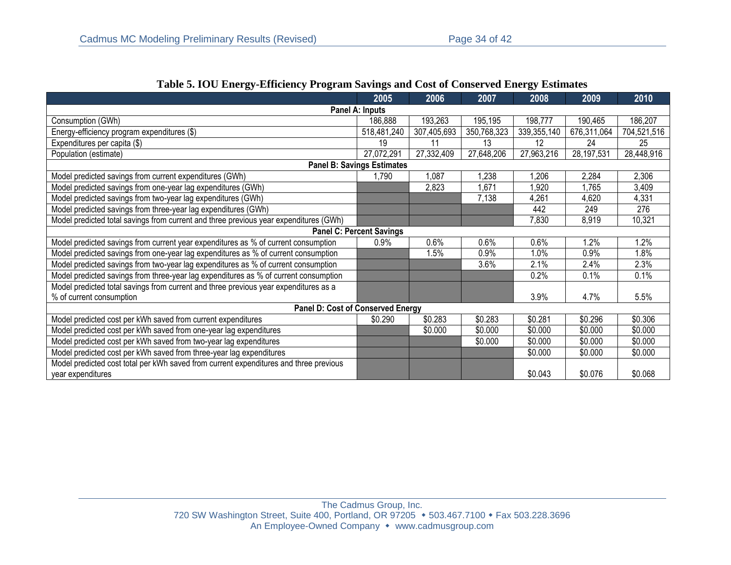<span id="page-33-0"></span>

|                                                                                       | 2005                              | 2006        | 2007        | 2008        | 2009        | 2010        |
|---------------------------------------------------------------------------------------|-----------------------------------|-------------|-------------|-------------|-------------|-------------|
|                                                                                       | Panel A: Inputs                   |             |             |             |             |             |
| Consumption (GWh)                                                                     | 186,888                           | 193,263     | 195,195     | 198,777     | 190,465     | 186,207     |
| Energy-efficiency program expenditures (\$)                                           | 518,481,240                       | 307,405,693 | 350,768,323 | 339,355,140 | 676,311,064 | 704,521,516 |
| Expenditures per capita (\$)                                                          | 19                                | 11          | 13          | 12          | 24          | 25          |
| Population (estimate)                                                                 | 27,072,291                        | 27,332,409  | 27,648,206  | 27,963,216  | 28,197,531  | 28,448,916  |
|                                                                                       | <b>Panel B: Savings Estimates</b> |             |             |             |             |             |
| Model predicted savings from current expenditures (GWh)                               | 1,790                             | 1,087       | ,238        | ,206        | 2,284       | 2,306       |
| Model predicted savings from one-year lag expenditures (GWh)                          |                                   | 2,823       | ,671        | 1,920       | 1,765       | 3,409       |
| Model predicted savings from two-year lag expenditures (GWh)                          |                                   |             | 7,138       | 4,261       | 4,620       | 4,331       |
| Model predicted savings from three-year lag expenditures (GWh)                        |                                   |             |             | 442         | 249         | 276         |
| Model predicted total savings from current and three previous year expenditures (GWh) |                                   |             |             | 7,830       | 8,919       | 10,321      |
|                                                                                       | <b>Panel C: Percent Savings</b>   |             |             |             |             |             |
| Model predicted savings from current year expenditures as % of current consumption    | $0.9\%$                           | 0.6%        | 0.6%        | 0.6%        | 1.2%        | 1.2%        |
| Model predicted savings from one-year lag expenditures as % of current consumption    |                                   | 1.5%        | 0.9%        | 1.0%        | 0.9%        | 1.8%        |
| Model predicted savings from two-year lag expenditures as % of current consumption    |                                   |             | 3.6%        | 2.1%        | 2.4%        | 2.3%        |
| Model predicted savings from three-year lag expenditures as % of current consumption  |                                   |             |             | 0.2%        | 0.1%        | 0.1%        |
| Model predicted total savings from current and three previous year expenditures as a  |                                   |             |             |             |             |             |
| % of current consumption                                                              |                                   |             |             | 3.9%        | 4.7%        | 5.5%        |
| <b>Panel D: Cost of Conserved Energy</b>                                              |                                   |             |             |             |             |             |
| Model predicted cost per kWh saved from current expenditures                          | \$0.290                           | \$0.283     | \$0.283     | \$0.281     | \$0.296     | \$0.306     |
| Model predicted cost per kWh saved from one-year lag expenditures                     |                                   | \$0.000     | \$0.000     | \$0.000     | \$0.000     | \$0.000     |
| Model predicted cost per kWh saved from two-year lag expenditures                     |                                   |             | \$0.000     | \$0.000     | \$0.000     | \$0.000     |
| Model predicted cost per kWh saved from three-year lag expenditures                   |                                   |             |             | \$0.000     | \$0.000     | \$0.000     |
| Model predicted cost total per kWh saved from current expenditures and three previous |                                   |             |             |             |             |             |
| year expenditures                                                                     |                                   |             |             | \$0.043     | \$0.076     | \$0.068     |

#### **Table 5. IOU Energy-Efficiency Program Savings and Cost of Conserved Energy Estimates**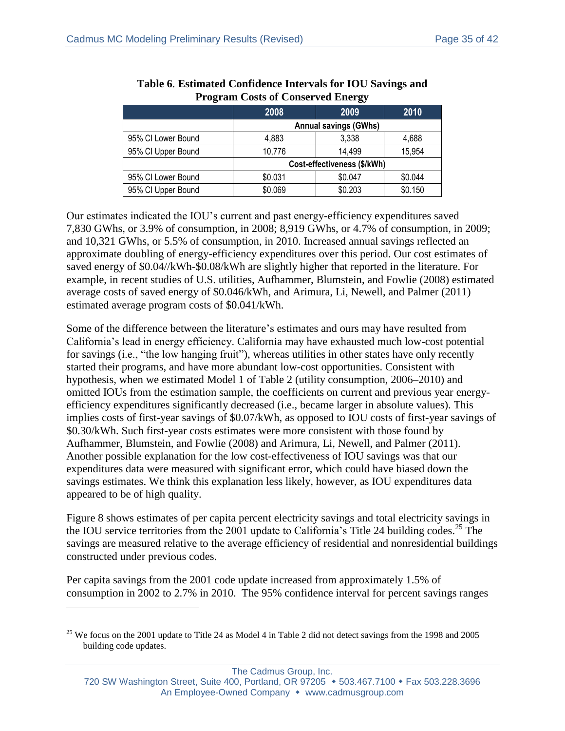<span id="page-34-0"></span>

|                    | 2008                         | 2009    | 2010    |  |  |  |
|--------------------|------------------------------|---------|---------|--|--|--|
|                    | <b>Annual savings (GWhs)</b> |         |         |  |  |  |
| 95% CI Lower Bound | 4,883                        | 3,338   | 4,688   |  |  |  |
| 95% CI Upper Bound | 10,776                       | 14,499  | 15,954  |  |  |  |
|                    | Cost-effectiveness (\$/kWh)  |         |         |  |  |  |
| 95% CI Lower Bound | \$0.031                      | \$0.047 | \$0.044 |  |  |  |
| 95% CI Upper Bound | \$0.069                      | \$0.203 | \$0.150 |  |  |  |

| Table 6. Estimated Confidence Intervals for IOU Savings and |
|-------------------------------------------------------------|
| <b>Program Costs of Conserved Energy</b>                    |

Our estimates indicated the IOU's current and past energy-efficiency expenditures saved 7,830 GWhs, or 3.9% of consumption, in 2008; 8,919 GWhs, or 4.7% of consumption, in 2009; and 10,321 GWhs, or 5.5% of consumption, in 2010. Increased annual savings reflected an approximate doubling of energy-efficiency expenditures over this period. Our cost estimates of saved energy of \$0.04//kWh-\$0.08/kWh are slightly higher that reported in the literature. For example, in recent studies of U.S. utilities, Aufhammer, Blumstein, and Fowlie (2008) estimated average costs of saved energy of \$0.046/kWh, and Arimura, Li, Newell, and Palmer (2011) estimated average program costs of \$0.041/kWh.

Some of the difference between the literature's estimates and ours may have resulted from California's lead in energy efficiency. California may have exhausted much low-cost potential for savings (i.e., "the low hanging fruit"), whereas utilities in other states have only recently started their programs, and have more abundant low-cost opportunities. Consistent with hypothesis, when we estimated Model 1 of [Table 2](#page-20-0) (utility consumption, 2006–2010) and omitted IOUs from the estimation sample, the coefficients on current and previous year energyefficiency expenditures significantly decreased (i.e., became larger in absolute values). This implies costs of first-year savings of \$0.07/kWh, as opposed to IOU costs of first-year savings of \$0.30/kWh. Such first-year costs estimates were more consistent with those found by Aufhammer, Blumstein, and Fowlie (2008) and Arimura, Li, Newell, and Palmer (2011). Another possible explanation for the low cost-effectiveness of IOU savings was that our expenditures data were measured with significant error, which could have biased down the savings estimates. We think this explanation less likely, however, as IOU expenditures data appeared to be of high quality.

Figure 8 shows estimates of per capita percent electricity savings and total electricity savings in the IOU service territories from the 2001 update to California's Title 24 building codes. <sup>25</sup> The savings are measured relative to the average efficiency of residential and nonresidential buildings constructed under previous codes.

Per capita savings from the 2001 code update increased from approximately 1.5% of consumption in 2002 to 2.7% in 2010. The 95% confidence interval for percent savings ranges

 $\overline{a}$ 

The Cadmus Group, Inc.

<sup>&</sup>lt;sup>25</sup> We focus on the 2001 update to Title 24 as Model 4 in Table 2 did not detect savings from the 1998 and 2005 building code updates.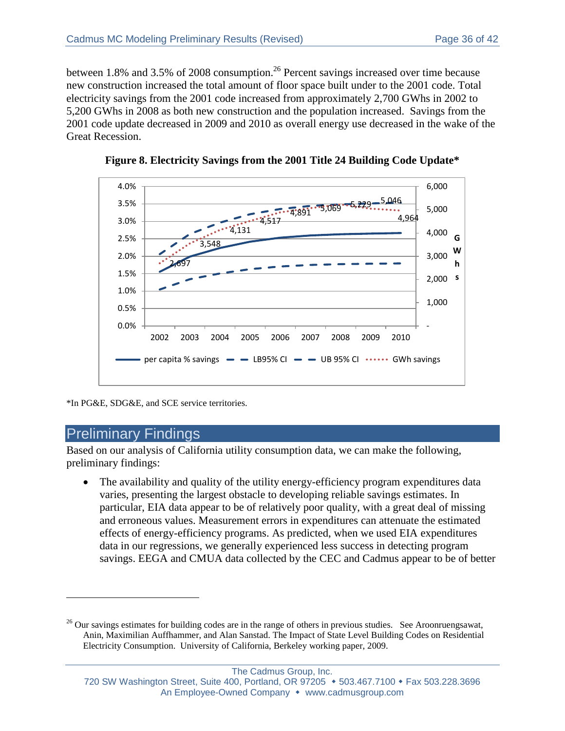between 1.8% and 3.5% of 2008 consumption.<sup>26</sup> Percent savings increased over time because new construction increased the total amount of floor space built under to the 2001 code. Total electricity savings from the 2001 code increased from approximately 2,700 GWhs in 2002 to 5,200 GWhs in 2008 as both new construction and the population increased. Savings from the 2001 code update decreased in 2009 and 2010 as overall energy use decreased in the wake of the Great Recession.





\*In PG&E, SDG&E, and SCE service territories.

# Preliminary Findings

 $\overline{a}$ 

Based on our analysis of California utility consumption data, we can make the following, preliminary findings:

 The availability and quality of the utility energy-efficiency program expenditures data varies, presenting the largest obstacle to developing reliable savings estimates. In particular, EIA data appear to be of relatively poor quality, with a great deal of missing and erroneous values. Measurement errors in expenditures can attenuate the estimated effects of energy-efficiency programs. As predicted, when we used EIA expenditures data in our regressions, we generally experienced less success in detecting program savings. EEGA and CMUA data collected by the CEC and Cadmus appear to be of better

<sup>&</sup>lt;sup>26</sup> Our savings estimates for building codes are in the range of others in previous studies. See Aroonruengsawat, Anin, Maximilian Auffhammer, and Alan Sanstad. The Impact of State Level Building Codes on Residential Electricity Consumption. University of California, Berkeley working paper, 2009.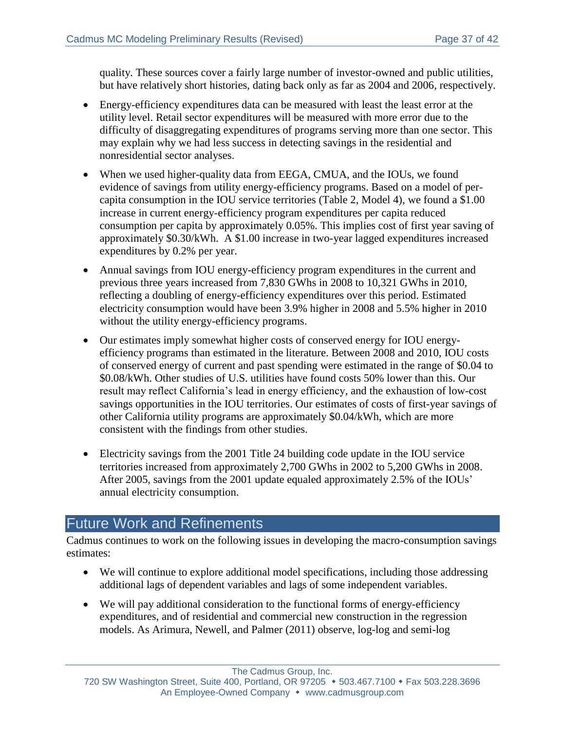quality. These sources cover a fairly large number of investor-owned and public utilities, but have relatively short histories, dating back only as far as 2004 and 2006, respectively.

- Energy-efficiency expenditures data can be measured with least the least error at the utility level. Retail sector expenditures will be measured with more error due to the difficulty of disaggregating expenditures of programs serving more than one sector. This may explain why we had less success in detecting savings in the residential and nonresidential sector analyses.
- When we used higher-quality data from EEGA, CMUA, and the IOUs, we found evidence of savings from utility energy-efficiency programs. Based on a model of percapita consumption in the IOU service territories [\(Table 2,](#page-20-0) Model 4), we found a \$1.00 increase in current energy-efficiency program expenditures per capita reduced consumption per capita by approximately 0.05%. This implies cost of first year saving of approximately \$0.30/kWh. A \$1.00 increase in two-year lagged expenditures increased expenditures by 0.2% per year.
- Annual savings from IOU energy-efficiency program expenditures in the current and previous three years increased from 7,830 GWhs in 2008 to 10,321 GWhs in 2010, reflecting a doubling of energy-efficiency expenditures over this period. Estimated electricity consumption would have been 3.9% higher in 2008 and 5.5% higher in 2010 without the utility energy-efficiency programs.
- Our estimates imply somewhat higher costs of conserved energy for IOU energyefficiency programs than estimated in the literature. Between 2008 and 2010, IOU costs of conserved energy of current and past spending were estimated in the range of \$0.04 to \$0.08/kWh. Other studies of U.S. utilities have found costs 50% lower than this. Our result may reflect California's lead in energy efficiency, and the exhaustion of low-cost savings opportunities in the IOU territories. Our estimates of costs of first-year savings of other California utility programs are approximately \$0.04/kWh, which are more consistent with the findings from other studies.
- Electricity savings from the 2001 Title 24 building code update in the IOU service territories increased from approximately 2,700 GWhs in 2002 to 5,200 GWhs in 2008. After 2005, savings from the 2001 update equaled approximately 2.5% of the IOUs' annual electricity consumption.

# Future Work and Refinements

Cadmus continues to work on the following issues in developing the macro-consumption savings estimates:

- We will continue to explore additional model specifications, including those addressing additional lags of dependent variables and lags of some independent variables.
- We will pay additional consideration to the functional forms of energy-efficiency expenditures, and of residential and commercial new construction in the regression models. As Arimura, Newell, and Palmer (2011) observe, log-log and semi-log

The Cadmus Group, Inc.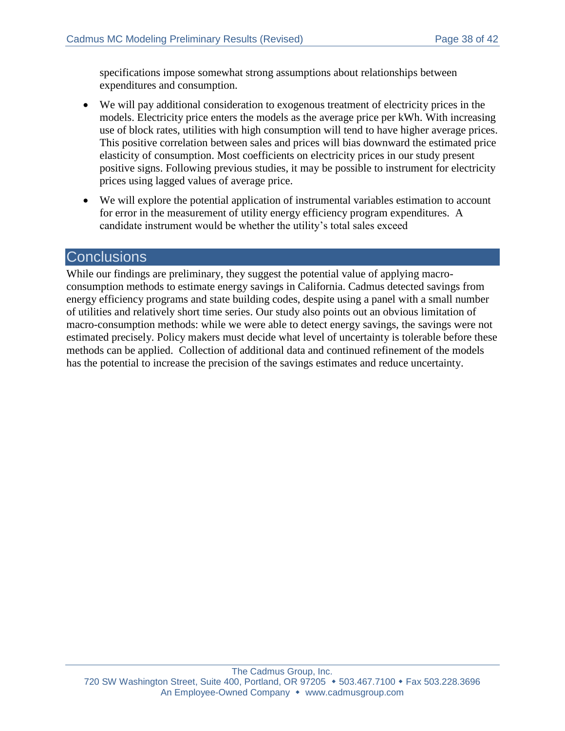specifications impose somewhat strong assumptions about relationships between expenditures and consumption.

- We will pay additional consideration to exogenous treatment of electricity prices in the models. Electricity price enters the models as the average price per kWh. With increasing use of block rates, utilities with high consumption will tend to have higher average prices. This positive correlation between sales and prices will bias downward the estimated price elasticity of consumption. Most coefficients on electricity prices in our study present positive signs. Following previous studies, it may be possible to instrument for electricity prices using lagged values of average price.
- We will explore the potential application of instrumental variables estimation to account for error in the measurement of utility energy efficiency program expenditures. A candidate instrument would be whether the utility's total sales exceed

#### **Conclusions**

While our findings are preliminary, they suggest the potential value of applying macroconsumption methods to estimate energy savings in California. Cadmus detected savings from energy efficiency programs and state building codes, despite using a panel with a small number of utilities and relatively short time series. Our study also points out an obvious limitation of macro-consumption methods: while we were able to detect energy savings, the savings were not estimated precisely. Policy makers must decide what level of uncertainty is tolerable before these methods can be applied. Collection of additional data and continued refinement of the models has the potential to increase the precision of the savings estimates and reduce uncertainty.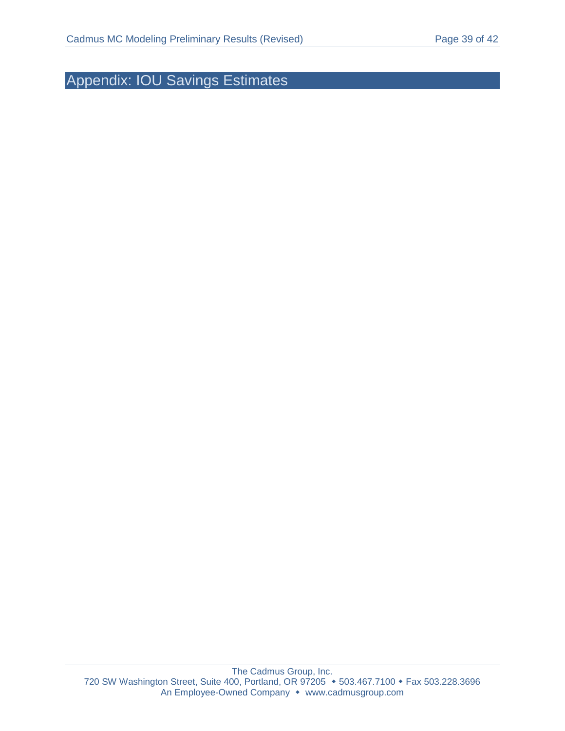Appendix: IOU Savings Estimates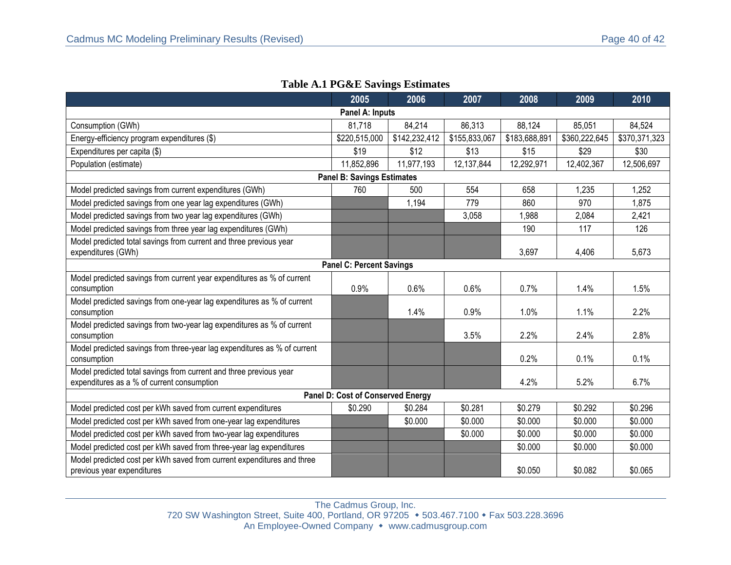|                                                                                                                  | 2005                                     | 2006          | 2007          | 2008          | 2009          | 2010          |  |  |
|------------------------------------------------------------------------------------------------------------------|------------------------------------------|---------------|---------------|---------------|---------------|---------------|--|--|
| Panel A: Inputs                                                                                                  |                                          |               |               |               |               |               |  |  |
| Consumption (GWh)                                                                                                | 81,718                                   | 84,214        | 86,313        | 88,124        | 85,051        | 84,524        |  |  |
| Energy-efficiency program expenditures (\$)                                                                      | \$220,515,000                            | \$142,232,412 | \$155,833,067 | \$183,688,891 | \$360,222,645 | \$370,371,323 |  |  |
| Expenditures per capita (\$)                                                                                     | \$19                                     | \$12          | \$13          | \$15          | \$29          | \$30          |  |  |
| Population (estimate)                                                                                            | 11,852,896                               | 11,977,193    | 12,137,844    | 12,292,971    | 12,402,367    | 12,506,697    |  |  |
|                                                                                                                  | <b>Panel B: Savings Estimates</b>        |               |               |               |               |               |  |  |
| Model predicted savings from current expenditures (GWh)                                                          | 760                                      | 500           | 554           | 658           | 1,235         | 1,252         |  |  |
| Model predicted savings from one year lag expenditures (GWh)                                                     |                                          | 1,194         | 779           | 860           | 970           | 1,875         |  |  |
| Model predicted savings from two year lag expenditures (GWh)                                                     |                                          |               | 3,058         | 1,988         | 2,084         | 2,421         |  |  |
| Model predicted savings from three year lag expenditures (GWh)                                                   |                                          |               |               | 190           | 117           | 126           |  |  |
| Model predicted total savings from current and three previous year<br>expenditures (GWh)                         |                                          |               |               | 3,697         | 4,406         | 5,673         |  |  |
|                                                                                                                  | <b>Panel C: Percent Savings</b>          |               |               |               |               |               |  |  |
| Model predicted savings from current year expenditures as % of current<br>consumption                            | 0.9%                                     | 0.6%          | 0.6%          | 0.7%          | 1.4%          | 1.5%          |  |  |
| Model predicted savings from one-year lag expenditures as % of current<br>consumption                            |                                          | 1.4%          | 0.9%          | 1.0%          | 1.1%          | 2.2%          |  |  |
| Model predicted savings from two-year lag expenditures as % of current<br>consumption                            |                                          |               | 3.5%          | 2.2%          | 2.4%          | 2.8%          |  |  |
| Model predicted savings from three-year lag expenditures as % of current<br>consumption                          |                                          |               |               | 0.2%          | 0.1%          | 0.1%          |  |  |
| Model predicted total savings from current and three previous year<br>expenditures as a % of current consumption |                                          |               |               | 4.2%          | 5.2%          | 6.7%          |  |  |
|                                                                                                                  | <b>Panel D: Cost of Conserved Energy</b> |               |               |               |               |               |  |  |
| Model predicted cost per kWh saved from current expenditures                                                     | \$0.290                                  | \$0.284       | \$0.281       | \$0.279       | \$0.292       | \$0.296       |  |  |
| Model predicted cost per kWh saved from one-year lag expenditures                                                |                                          | \$0.000       | \$0.000       | \$0.000       | \$0.000       | \$0.000       |  |  |
| Model predicted cost per kWh saved from two-year lag expenditures                                                |                                          |               | \$0.000       | \$0.000       | \$0.000       | \$0.000       |  |  |
| Model predicted cost per kWh saved from three-year lag expenditures                                              |                                          |               |               | \$0.000       | \$0.000       | \$0.000       |  |  |
| Model predicted cost per kWh saved from current expenditures and three<br>previous year expenditures             |                                          |               |               | \$0.050       | \$0.082       | \$0.065       |  |  |

#### **Table A.1 PG&E Savings Estimates**

The Cadmus Group, Inc. 720 SW Washington Street, Suite 400, Portland, OR 97205 • 503.467.7100 • Fax 503.228.3696 An Employee-Owned Company • www.cadmusgroup.com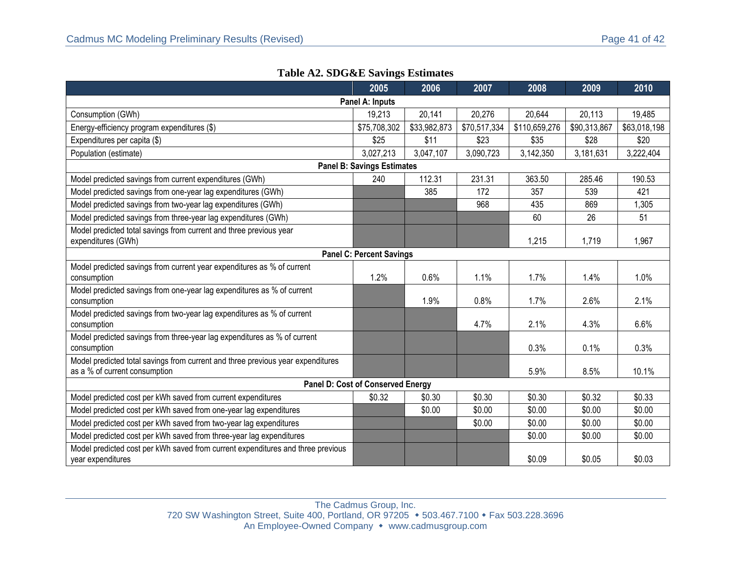|  |  |  | <b>Table A2. SDG&amp;E Savings Estimates</b> |
|--|--|--|----------------------------------------------|
|--|--|--|----------------------------------------------|

|                                                                                                                  | 2005                                     | 2006         | 2007         | 2008          | 2009         | 2010         |  |  |
|------------------------------------------------------------------------------------------------------------------|------------------------------------------|--------------|--------------|---------------|--------------|--------------|--|--|
| Panel A: Inputs                                                                                                  |                                          |              |              |               |              |              |  |  |
| Consumption (GWh)                                                                                                | 19,213                                   | 20,141       | 20,276       | 20,644        | 20,113       | 19,485       |  |  |
| Energy-efficiency program expenditures (\$)                                                                      | \$75,708,302                             | \$33,982,873 | \$70,517,334 | \$110,659,276 | \$90,313,867 | \$63,018,198 |  |  |
| Expenditures per capita (\$)                                                                                     | \$25                                     | \$11         | \$23         | \$35          | \$28         | \$20         |  |  |
| Population (estimate)                                                                                            | 3,027,213                                | 3,047,107    | 3,090,723    | 3,142,350     | 3,181,631    | 3,222,404    |  |  |
|                                                                                                                  | <b>Panel B: Savings Estimates</b>        |              |              |               |              |              |  |  |
| Model predicted savings from current expenditures (GWh)                                                          | 240                                      | 112.31       | 231.31       | 363.50        | 285.46       | 190.53       |  |  |
| Model predicted savings from one-year lag expenditures (GWh)                                                     |                                          | 385          | 172          | 357           | 539          | 421          |  |  |
| Model predicted savings from two-year lag expenditures (GWh)                                                     |                                          |              | 968          | 435           | 869          | 1,305        |  |  |
| Model predicted savings from three-year lag expenditures (GWh)                                                   |                                          |              |              | 60            | 26           | 51           |  |  |
| Model predicted total savings from current and three previous year<br>expenditures (GWh)                         |                                          |              |              | 1,215         | 1,719        | 1,967        |  |  |
|                                                                                                                  | <b>Panel C: Percent Savings</b>          |              |              |               |              |              |  |  |
| Model predicted savings from current year expenditures as % of current<br>consumption                            | 1.2%                                     | 0.6%         | 1.1%         | 1.7%          | 1.4%         | 1.0%         |  |  |
| Model predicted savings from one-year lag expenditures as % of current<br>consumption                            |                                          | 1.9%         | 0.8%         | 1.7%          | 2.6%         | 2.1%         |  |  |
| Model predicted savings from two-year lag expenditures as % of current<br>consumption                            |                                          |              | 4.7%         | 2.1%          | 4.3%         | 6.6%         |  |  |
| Model predicted savings from three-year lag expenditures as % of current<br>consumption                          |                                          |              |              | 0.3%          | 0.1%         | 0.3%         |  |  |
| Model predicted total savings from current and three previous year expenditures<br>as a % of current consumption |                                          |              |              | 5.9%          | 8.5%         | 10.1%        |  |  |
|                                                                                                                  | <b>Panel D: Cost of Conserved Energy</b> |              |              |               |              |              |  |  |
| Model predicted cost per kWh saved from current expenditures                                                     | \$0.32                                   | \$0.30       | \$0.30       | \$0.30        | \$0.32       | \$0.33       |  |  |
| Model predicted cost per kWh saved from one-year lag expenditures                                                |                                          | \$0.00       | \$0.00       | \$0.00        | \$0.00       | \$0.00       |  |  |
| Model predicted cost per kWh saved from two-year lag expenditures                                                |                                          |              | \$0.00       | \$0.00        | \$0.00       | \$0.00       |  |  |
| Model predicted cost per kWh saved from three-year lag expenditures                                              |                                          |              |              | \$0.00        | \$0.00       | \$0.00       |  |  |
| Model predicted cost per kWh saved from current expenditures and three previous<br>year expenditures             |                                          |              |              | \$0.09        | \$0.05       | \$0.03       |  |  |